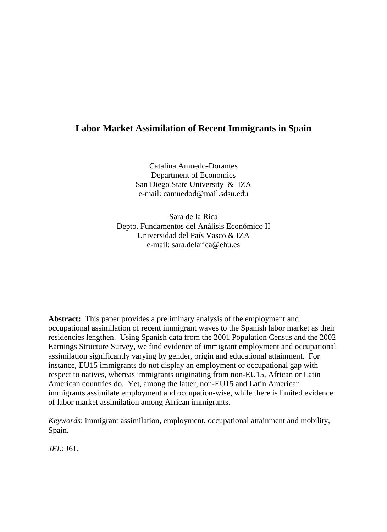# **Labor Market Assimilation of Recent Immigrants in Spain**

Catalina Amuedo-Dorantes Department of Economics San Diego State University & IZA e-mail: camuedod@mail.sdsu.edu

Sara de la Rica Depto. Fundamentos del Análisis Económico II Universidad del País Vasco & IZA e-mail: sara.delarica@ehu.es

**Abstract:** This paper provides a preliminary analysis of the employment and occupational assimilation of recent immigrant waves to the Spanish labor market as their residencies lengthen. Using Spanish data from the 2001 Population Census and the 2002 Earnings Structure Survey, we find evidence of immigrant employment and occupational assimilation significantly varying by gender, origin and educational attainment. For instance, EU15 immigrants do not display an employment or occupational gap with respect to natives, whereas immigrants originating from non-EU15, African or Latin American countries do. Yet, among the latter, non-EU15 and Latin American immigrants assimilate employment and occupation-wise, while there is limited evidence of labor market assimilation among African immigrants.

*Keywords*: immigrant assimilation, employment, occupational attainment and mobility, Spain.

*JEL*: J61.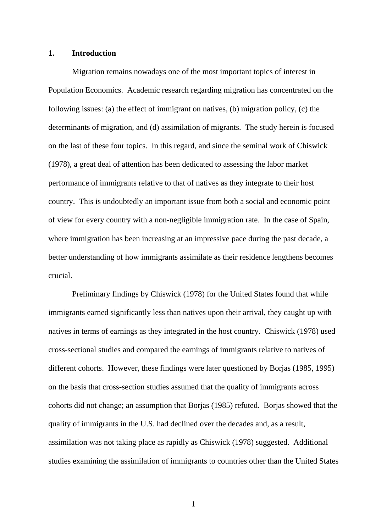# **1. Introduction**

Migration remains nowadays one of the most important topics of interest in Population Economics. Academic research regarding migration has concentrated on the following issues: (a) the effect of immigrant on natives, (b) migration policy, (c) the determinants of migration, and (d) assimilation of migrants. The study herein is focused on the last of these four topics. In this regard, and since the seminal work of Chiswick (1978), a great deal of attention has been dedicated to assessing the labor market performance of immigrants relative to that of natives as they integrate to their host country. This is undoubtedly an important issue from both a social and economic point of view for every country with a non-negligible immigration rate. In the case of Spain, where immigration has been increasing at an impressive pace during the past decade, a better understanding of how immigrants assimilate as their residence lengthens becomes crucial.

Preliminary findings by Chiswick (1978) for the United States found that while immigrants earned significantly less than natives upon their arrival, they caught up with natives in terms of earnings as they integrated in the host country. Chiswick (1978) used cross-sectional studies and compared the earnings of immigrants relative to natives of different cohorts. However, these findings were later questioned by Borjas (1985, 1995) on the basis that cross-section studies assumed that the quality of immigrants across cohorts did not change; an assumption that Borjas (1985) refuted. Borjas showed that the quality of immigrants in the U.S. had declined over the decades and, as a result, assimilation was not taking place as rapidly as Chiswick (1978) suggested. Additional studies examining the assimilation of immigrants to countries other than the United States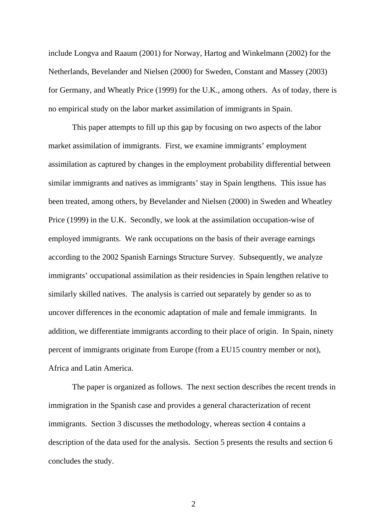include Longva and Raaum (2001) for Norway, Hartog and Winkelmann (2002) for the Netherlands, Bevelander and Nielsen (2000) for Sweden, Constant and Massey (2003) for Germany, and Wheatly Price (1999) for the U.K., among others. As of today, there is no empirical study on the labor market assimilation of immigrants in Spain.

This paper attempts to fill up this gap by focusing on two aspects of the labor market assimilation of immigrants. First, we examine immigrants' employment assimilation as captured by changes in the employment probability differential between similar immigrants and natives as immigrants' stay in Spain lengthens. This issue has been treated, among others, by Bevelander and Nielsen (2000) in Sweden and Wheatley Price (1999) in the U.K. Secondly, we look at the assimilation occupation-wise of employed immigrants. We rank occupations on the basis of their average earnings according to the 2002 Spanish Earnings Structure Survey. Subsequently, we analyze immigrants' occupational assimilation as their residencies in Spain lengthen relative to similarly skilled natives. The analysis is carried out separately by gender so as to uncover differences in the economic adaptation of male and female immigrants. In addition, we differentiate immigrants according to their place of origin. In Spain, ninety percent of immigrants originate from Europe (from a EU15 country member or not), Africa and Latin America.

The paper is organized as follows. The next section describes the recent trends in immigration in the Spanish case and provides a general characterization of recent immigrants. Section 3 discusses the methodology, whereas section 4 contains a description of the data used for the analysis. Section 5 presents the results and section 6 concludes the study.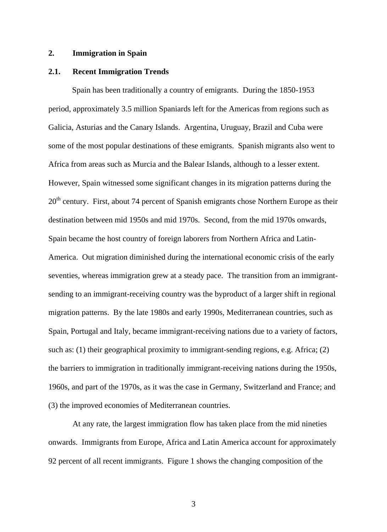# **2. Immigration in Spain**

#### **2.1. Recent Immigration Trends**

Spain has been traditionally a country of emigrants. During the 1850-1953 period, approximately 3.5 million Spaniards left for the Americas from regions such as Galicia, Asturias and the Canary Islands. Argentina, Uruguay, Brazil and Cuba were some of the most popular destinations of these emigrants. Spanish migrants also went to Africa from areas such as Murcia and the Balear Islands, although to a lesser extent. However, Spain witnessed some significant changes in its migration patterns during the  $20<sup>th</sup>$  century. First, about 74 percent of Spanish emigrants chose Northern Europe as their destination between mid 1950s and mid 1970s. Second, from the mid 1970s onwards, Spain became the host country of foreign laborers from Northern Africa and Latin-America. Out migration diminished during the international economic crisis of the early seventies, whereas immigration grew at a steady pace. The transition from an immigrantsending to an immigrant-receiving country was the byproduct of a larger shift in regional migration patterns. By the late 1980s and early 1990s, Mediterranean countries, such as Spain, Portugal and Italy, became immigrant-receiving nations due to a variety of factors, such as: (1) their geographical proximity to immigrant-sending regions, e.g. Africa; (2) the barriers to immigration in traditionally immigrant-receiving nations during the 1950s, 1960s, and part of the 1970s, as it was the case in Germany, Switzerland and France; and (3) the improved economies of Mediterranean countries.

At any rate, the largest immigration flow has taken place from the mid nineties onwards. Immigrants from Europe, Africa and Latin America account for approximately 92 percent of all recent immigrants. Figure 1 shows the changing composition of the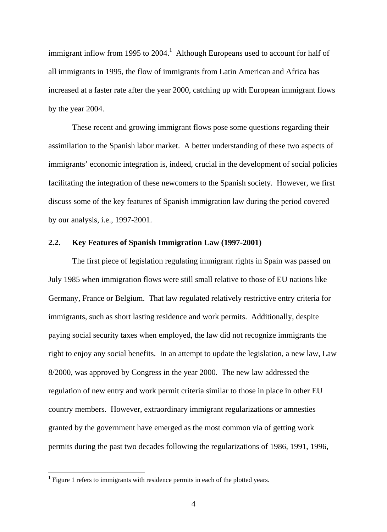immigrant inflow from 1995 to  $2004<sup>1</sup>$  [Alt](#page-4-0)hough Europeans used to account for half of all immigrants in 1995, the flow of immigrants from Latin American and Africa has increased at a faster rate after the year 2000, catching up with European immigrant flows by the year 2004.

These recent and growing immigrant flows pose some questions regarding their assimilation to the Spanish labor market. A better understanding of these two aspects of immigrants' economic integration is, indeed, crucial in the development of social policies facilitating the integration of these newcomers to the Spanish society. However, we first discuss some of the key features of Spanish immigration law during the period covered by our analysis, i.e., 1997-2001.

## **2.2. Key Features of Spanish Immigration Law (1997-2001)**

The first piece of legislation regulating immigrant rights in Spain was passed on July 1985 when immigration flows were still small relative to those of EU nations like Germany, France or Belgium. That law regulated relatively restrictive entry criteria for immigrants, such as short lasting residence and work permits. Additionally, despite paying social security taxes when employed, the law did not recognize immigrants the right to enjoy any social benefits. In an attempt to update the legislation, a new law, Law 8/2000, was approved by Congress in the year 2000. The new law addressed the regulation of new entry and work permit criteria similar to those in place in other EU country members. However, extraordinary immigrant regularizations or amnesties granted by the government have emerged as the most common via of getting work permits during the past two decades following the regularizations of 1986, 1991, 1996,

<u>.</u>

<span id="page-4-0"></span><sup>&</sup>lt;sup>1</sup> Figure 1 refers to immigrants with residence permits in each of the plotted years.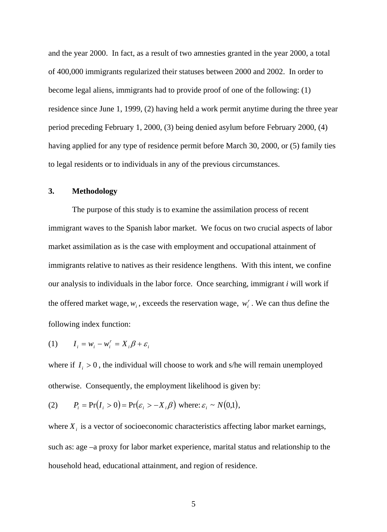and the year 2000. In fact, as a result of two amnesties granted in the year 2000, a total of 400,000 immigrants regularized their statuses between 2000 and 2002. In order to become legal aliens, immigrants had to provide proof of one of the following: (1) residence since June 1, 1999, (2) having held a work permit anytime during the three year period preceding February 1, 2000, (3) being denied asylum before February 2000, (4) having applied for any type of residence permit before March 30, 2000, or (5) family ties to legal residents or to individuals in any of the previous circumstances.

# **3. Methodology**

The purpose of this study is to examine the assimilation process of recent immigrant waves to the Spanish labor market. We focus on two crucial aspects of labor market assimilation as is the case with employment and occupational attainment of immigrants relative to natives as their residence lengthens. With this intent, we confine our analysis to individuals in the labor force. Once searching, immigrant *i* will work if the offered market wage,  $w_i$ , exceeds the reservation wage,  $w_i^r$ . We can thus define the following index function:

$$
(1) \qquad I_i = w_i - w_i^r = X_i \beta + \varepsilon_i
$$

where if  $I_i > 0$ , the individual will choose to work and s/he will remain unemployed otherwise. Consequently, the employment likelihood is given by:

(2) 
$$
P_i = \Pr(I_i > 0) = \Pr(\varepsilon_i > -X_i \beta) \text{ where: } \varepsilon_i \sim N(0,1),
$$

where  $X_i$  is a vector of socioeconomic characteristics affecting labor market earnings, such as: age –a proxy for labor market experience, marital status and relationship to the household head, educational attainment, and region of residence.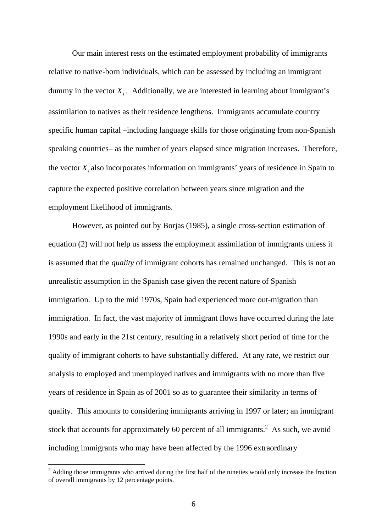Our main interest rests on the estimated employment probability of immigrants relative to native-born individuals, which can be assessed by including an immigrant dummy in the vector  $X_i$ . Additionally, we are interested in learning about immigrant's assimilation to natives as their residence lengthens. Immigrants accumulate country specific human capital –including language skills for those originating from non-Spanish speaking countries– as the number of years elapsed since migration increases. Therefore, the vector  $X_i$  also incorporates information on immigrants' years of residence in Spain to capture the expected positive correlation between years since migration and the employment likelihood of immigrants.

However, as pointed out by Borjas (1985), a single cross-section estimation of equation (2) will not help us assess the employment assimilation of immigrants unless it is assumed that the *quality* of immigrant cohorts has remained unchanged. This is not an unrealistic assumption in the Spanish case given the recent nature of Spanish immigration. Up to the mid 1970s, Spain had experienced more out-migration than immigration. In fact, the vast majority of immigrant flows have occurred during the late 1990s and early in the 21st century, resulting in a relatively short period of time for the quality of immigrant cohorts to have substantially differed. At any rate, we restrict our analysis to employed and unemployed natives and immigrants with no more than five years of residence in Spain as of 2001 so as to guarantee their similarity in terms of quality. This amounts to considering immigrants arriving in 1997 or later; an immigrant stock that accounts for approximately 60 percent of all immigrants.<sup>2</sup> [As](#page-6-0) such, we avoid including immigrants who may have been affected by the 1996 extraordinary

 $\overline{a}$ 

<span id="page-6-0"></span> $2$  Adding those immigrants who arrived during the first half of the nineties would only increase the fraction of overall immigrants by 12 percentage points.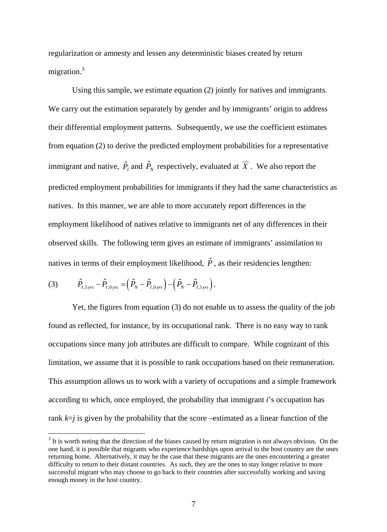regularization or amnesty and lessen any deterministic biases created by return migration.<sup>3</sup>

Using this sample, we estimate equation (2) jointly for natives and immigrants. We carry out the estimation separately by gender and by immigrants' origin to address their differential employment patterns. Subsequently, we use the coefficient estimates from equation (2) to derive the predicted employment probabilities for a representative immigrant and native,  $\hat{P}_I$  and  $\hat{P}_N$  respectively, evaluated at  $\overline{X}$  . We also report the predicted employment probabilities for immigrants if they had the same characteristics as natives. In this manner, we are able to more accurately report differences in the employment likelihood of natives relative to immigrants net of any differences in their observed skills. The following term gives an estimate of immigrants' assimilation to natives in terms of their employment likelihood,  $\hat{P}$ , as their residencies lengthen:

(3) 
$$
\hat{P}_{I,5\,yrs} - \hat{P}_{I,0\,yrs} = \left(\hat{P}_N - \hat{P}_{I,0\,yrs}\right) - \left(\hat{P}_N - \hat{P}_{I,5\,yrs}\right).
$$

 $\overline{a}$ 

Yet, the figures from equation (3) do not enable us to assess the quality of the job found as reflected, for instance, by its occupational rank. There is no easy way to rank occupations since many job attributes are difficult to compare. While cognizant of this limitation, we assume that it is possible to rank occupations based on their remuneration. This assumption allows us to work with a variety of occupations and a simple framework according to which, once employed, the probability that immigrant *i*'s occupation has rank *k*=*j* is given by the probability that the score –estimated as a linear function of the

 $3$  It is worth noting that the direction of the biases caused by return migration is not always obvious. On the one hand, it is possible that migrants who experience hardships upon arrival to the host country are the ones returning home. Alternatively, it may be the case that these migrants are the ones encountering a greater difficulty to return to their distant countries. As such, they are the ones to stay longer relative to more successful migrant who may choose to go back to their countries after successfully working and saving enough money in the host country.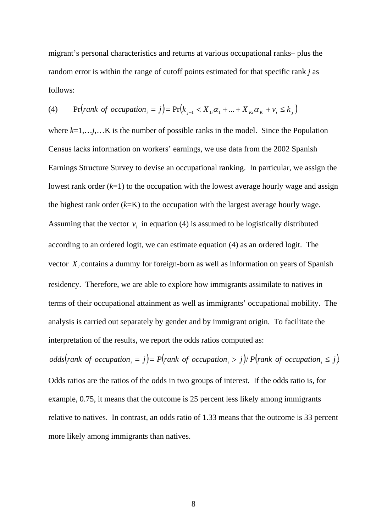migrant's personal characteristics and returns at various occupational ranks– plus the random error is within the range of cutoff points estimated for that specific rank *j* as follows:

(4) 
$$
\Pr\left(\text{rank of occupation}_i = j\right) = \Pr\left(k_{j-1} < X_{1i}\alpha_1 + \dots + X_{ki}\alpha_k + \nu_i \le k_j\right)
$$

where  $k=1,\ldots j,\ldots K$  is the number of possible ranks in the model. Since the Population Census lacks information on workers' earnings, we use data from the 2002 Spanish Earnings Structure Survey to devise an occupational ranking. In particular, we assign the lowest rank order (*k*=1) to the occupation with the lowest average hourly wage and assign the highest rank order (*k*=K) to the occupation with the largest average hourly wage. Assuming that the vector  $v_i$  in equation (4) is assumed to be logistically distributed according to an ordered logit, we can estimate equation (4) as an ordered logit. The vector  $X_i$  contains a dummy for foreign-born as well as information on years of Spanish residency. Therefore, we are able to explore how immigrants assimilate to natives in terms of their occupational attainment as well as immigrants' occupational mobility. The analysis is carried out separately by gender and by immigrant origin. To facilitate the interpretation of the results, we report the odds ratios computed as:

*odds*(*rank of occupation*<sub>*i*</sub> = *j*) = *P*(*rank of occupation*<sub>*i*</sub> > *j*)/ *P*(*rank of occupation*<sub>*i*</sub> ≤ *j*). Odds ratios are the ratios of the odds in two groups of interest. If the odds ratio is, for example, 0.75, it means that the outcome is 25 percent less likely among immigrants relative to natives. In contrast, an odds ratio of 1.33 means that the outcome is 33 percent more likely among immigrants than natives.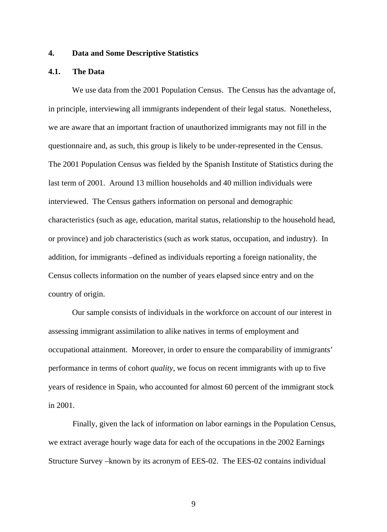# **4. Data and Some Descriptive Statistics**

# **4.1. The Data**

We use data from the 2001 Population Census. The Census has the advantage of, in principle, interviewing all immigrants independent of their legal status. Nonetheless, we are aware that an important fraction of unauthorized immigrants may not fill in the questionnaire and, as such, this group is likely to be under-represented in the Census. The 2001 Population Census was fielded by the Spanish Institute of Statistics during the last term of 2001. Around 13 million households and 40 million individuals were interviewed. The Census gathers information on personal and demographic characteristics (such as age, education, marital status, relationship to the household head, or province) and job characteristics (such as work status, occupation, and industry). In addition, for immigrants –defined as individuals reporting a foreign nationality, the Census collects information on the number of years elapsed since entry and on the country of origin.

Our sample consists of individuals in the workforce on account of our interest in assessing immigrant assimilation to alike natives in terms of employment and occupational attainment. Moreover, in order to ensure the comparability of immigrants' performance in terms of cohort *quality*, we focus on recent immigrants with up to five years of residence in Spain, who accounted for almost 60 percent of the immigrant stock in 2001.

Finally, given the lack of information on labor earnings in the Population Census, we extract average hourly wage data for each of the occupations in the 2002 Earnings Structure Survey –known by its acronym of EES-02. The EES-02 contains individual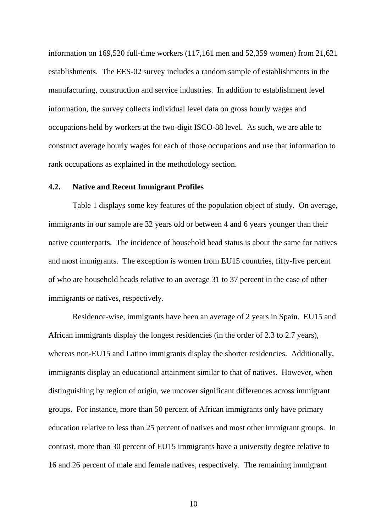information on 169,520 full-time workers (117,161 men and 52,359 women) from 21,621 establishments. The EES-02 survey includes a random sample of establishments in the manufacturing, construction and service industries. In addition to establishment level information, the survey collects individual level data on gross hourly wages and occupations held by workers at the two-digit ISCO-88 level. As such, we are able to construct average hourly wages for each of those occupations and use that information to rank occupations as explained in the methodology section.

## **4.2. Native and Recent Immigrant Profiles**

Table 1 displays some key features of the population object of study. On average, immigrants in our sample are 32 years old or between 4 and 6 years younger than their native counterparts. The incidence of household head status is about the same for natives and most immigrants. The exception is women from EU15 countries, fifty-five percent of who are household heads relative to an average 31 to 37 percent in the case of other immigrants or natives, respectively.

Residence-wise, immigrants have been an average of 2 years in Spain. EU15 and African immigrants display the longest residencies (in the order of 2.3 to 2.7 years), whereas non-EU15 and Latino immigrants display the shorter residencies. Additionally, immigrants display an educational attainment similar to that of natives. However, when distinguishing by region of origin, we uncover significant differences across immigrant groups. For instance, more than 50 percent of African immigrants only have primary education relative to less than 25 percent of natives and most other immigrant groups. In contrast, more than 30 percent of EU15 immigrants have a university degree relative to 16 and 26 percent of male and female natives, respectively. The remaining immigrant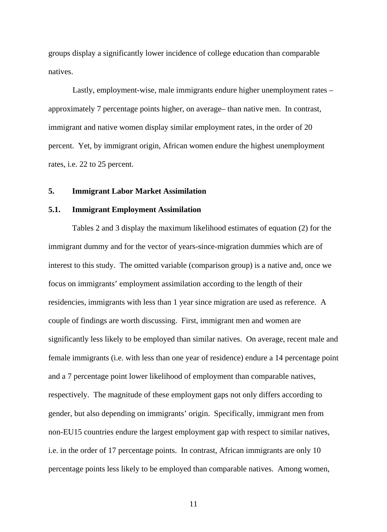groups display a significantly lower incidence of college education than comparable natives.

Lastly, employment-wise, male immigrants endure higher unemployment rates – approximately 7 percentage points higher, on average– than native men. In contrast, immigrant and native women display similar employment rates, in the order of 20 percent. Yet, by immigrant origin, African women endure the highest unemployment rates, i.e. 22 to 25 percent.

# **5. Immigrant Labor Market Assimilation**

### **5.1. Immigrant Employment Assimilation**

Tables 2 and 3 display the maximum likelihood estimates of equation (2) for the immigrant dummy and for the vector of years-since-migration dummies which are of interest to this study. The omitted variable (comparison group) is a native and, once we focus on immigrants' employment assimilation according to the length of their residencies, immigrants with less than 1 year since migration are used as reference. A couple of findings are worth discussing. First, immigrant men and women are significantly less likely to be employed than similar natives. On average, recent male and female immigrants (i.e. with less than one year of residence) endure a 14 percentage point and a 7 percentage point lower likelihood of employment than comparable natives, respectively. The magnitude of these employment gaps not only differs according to gender, but also depending on immigrants' origin. Specifically, immigrant men from non-EU15 countries endure the largest employment gap with respect to similar natives, i.e. in the order of 17 percentage points. In contrast, African immigrants are only 10 percentage points less likely to be employed than comparable natives. Among women,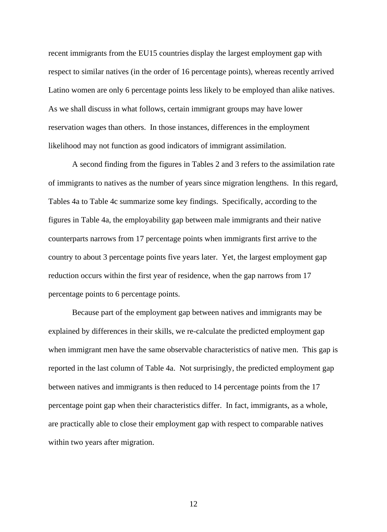recent immigrants from the EU15 countries display the largest employment gap with respect to similar natives (in the order of 16 percentage points), whereas recently arrived Latino women are only 6 percentage points less likely to be employed than alike natives. As we shall discuss in what follows, certain immigrant groups may have lower reservation wages than others. In those instances, differences in the employment likelihood may not function as good indicators of immigrant assimilation.

A second finding from the figures in Tables 2 and 3 refers to the assimilation rate of immigrants to natives as the number of years since migration lengthens. In this regard, Tables 4a to Table 4c summarize some key findings. Specifically, according to the figures in Table 4a, the employability gap between male immigrants and their native counterparts narrows from 17 percentage points when immigrants first arrive to the country to about 3 percentage points five years later. Yet, the largest employment gap reduction occurs within the first year of residence, when the gap narrows from 17 percentage points to 6 percentage points.

Because part of the employment gap between natives and immigrants may be explained by differences in their skills, we re-calculate the predicted employment gap when immigrant men have the same observable characteristics of native men. This gap is reported in the last column of Table 4a. Not surprisingly, the predicted employment gap between natives and immigrants is then reduced to 14 percentage points from the 17 percentage point gap when their characteristics differ. In fact, immigrants, as a whole, are practically able to close their employment gap with respect to comparable natives within two years after migration.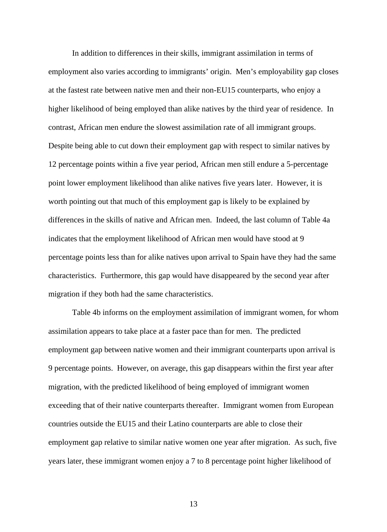In addition to differences in their skills, immigrant assimilation in terms of employment also varies according to immigrants' origin. Men's employability gap closes at the fastest rate between native men and their non-EU15 counterparts, who enjoy a higher likelihood of being employed than alike natives by the third year of residence. In contrast, African men endure the slowest assimilation rate of all immigrant groups. Despite being able to cut down their employment gap with respect to similar natives by 12 percentage points within a five year period, African men still endure a 5-percentage point lower employment likelihood than alike natives five years later. However, it is worth pointing out that much of this employment gap is likely to be explained by differences in the skills of native and African men. Indeed, the last column of Table 4a indicates that the employment likelihood of African men would have stood at 9 percentage points less than for alike natives upon arrival to Spain have they had the same characteristics. Furthermore, this gap would have disappeared by the second year after migration if they both had the same characteristics.

Table 4b informs on the employment assimilation of immigrant women, for whom assimilation appears to take place at a faster pace than for men. The predicted employment gap between native women and their immigrant counterparts upon arrival is 9 percentage points. However, on average, this gap disappears within the first year after migration, with the predicted likelihood of being employed of immigrant women exceeding that of their native counterparts thereafter. Immigrant women from European countries outside the EU15 and their Latino counterparts are able to close their employment gap relative to similar native women one year after migration. As such, five years later, these immigrant women enjoy a 7 to 8 percentage point higher likelihood of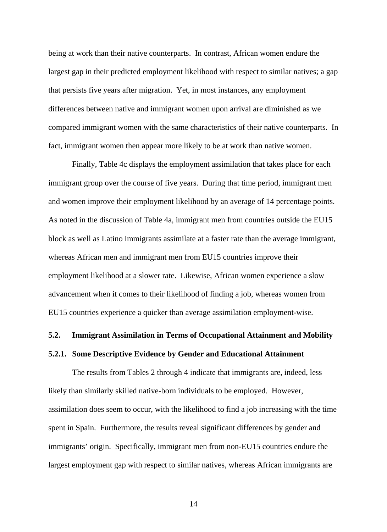being at work than their native counterparts. In contrast, African women endure the largest gap in their predicted employment likelihood with respect to similar natives; a gap that persists five years after migration. Yet, in most instances, any employment differences between native and immigrant women upon arrival are diminished as we compared immigrant women with the same characteristics of their native counterparts. In fact, immigrant women then appear more likely to be at work than native women.

Finally, Table 4c displays the employment assimilation that takes place for each immigrant group over the course of five years. During that time period, immigrant men and women improve their employment likelihood by an average of 14 percentage points. As noted in the discussion of Table 4a, immigrant men from countries outside the EU15 block as well as Latino immigrants assimilate at a faster rate than the average immigrant, whereas African men and immigrant men from EU15 countries improve their employment likelihood at a slower rate. Likewise, African women experience a slow advancement when it comes to their likelihood of finding a job, whereas women from EU15 countries experience a quicker than average assimilation employment-wise.

## **5.2. Immigrant Assimilation in Terms of Occupational Attainment and Mobility**

## **5.2.1. Some Descriptive Evidence by Gender and Educational Attainment**

The results from Tables 2 through 4 indicate that immigrants are, indeed, less likely than similarly skilled native-born individuals to be employed. However, assimilation does seem to occur, with the likelihood to find a job increasing with the time spent in Spain. Furthermore, the results reveal significant differences by gender and immigrants' origin. Specifically, immigrant men from non-EU15 countries endure the largest employment gap with respect to similar natives, whereas African immigrants are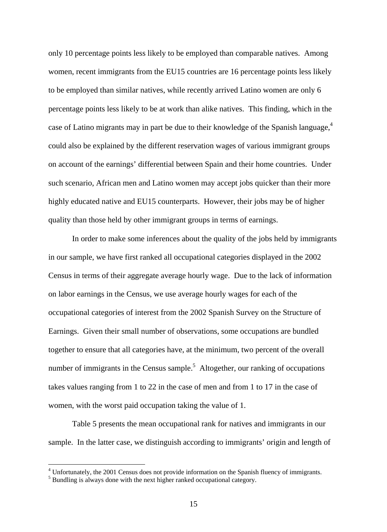only 10 percentage points less likely to be employed than comparable natives. Among women, recent immigrants from the EU15 countries are 16 percentage points less likely to be employed than similar natives, while recently arrived Latino women are only 6 percentage points less likely to be at work than alike natives. This finding, which in the case of Latino migrants may in part be due to their knowledge of the Spanish language, $4$ could also be explained by the different reservation wages of various immigrant groups on account of the earnings' differential between Spain and their home countries. Under such scenario, African men and Latino women may accept jobs quicker than their more highly educated native and EU15 counterparts. However, their jobs may be of higher quality than those held by other immigrant groups in terms of earnings.

In order to make some inferences about the quality of the jobs held by immigrants in our sample, we have first ranked all occupational categories displayed in the 2002 Census in terms of their aggregate average hourly wage. Due to the lack of information on labor earnings in the Census, we use average hourly wages for each of the occupational categories of interest from the 2002 Spanish Survey on the Structure of Earnings. Given their small number of observations, some occupations are bundled together to ensure that all categories have, at the minimum, two percent of the overall number of immigrants in the Census sample.<sup>5</sup> [Alt](#page-15-0)ogether, our ranking of occupations takes values ranging from 1 to 22 in the case of men and from 1 to 17 in the case of women, with the worst paid occupation taking the value of 1.

Table 5 presents the mean occupational rank for natives and immigrants in our sample. In the latter case, we distinguish according to immigrants' origin and length of

 $\overline{a}$ 

<sup>&</sup>lt;sup>4</sup> Unfortunately, the 2001 Census does not provide information on the Spanish fluency of immigrants.

<span id="page-15-0"></span> $<sup>5</sup>$  Bundling is always done with the next higher ranked occupational category.</sup>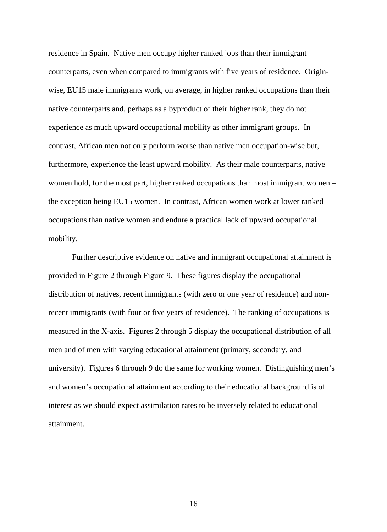residence in Spain. Native men occupy higher ranked jobs than their immigrant counterparts, even when compared to immigrants with five years of residence. Originwise, EU15 male immigrants work, on average, in higher ranked occupations than their native counterparts and, perhaps as a byproduct of their higher rank, they do not experience as much upward occupational mobility as other immigrant groups. In contrast, African men not only perform worse than native men occupation-wise but, furthermore, experience the least upward mobility. As their male counterparts, native women hold, for the most part, higher ranked occupations than most immigrant women – the exception being EU15 women. In contrast, African women work at lower ranked occupations than native women and endure a practical lack of upward occupational mobility.

Further descriptive evidence on native and immigrant occupational attainment is provided in Figure 2 through Figure 9. These figures display the occupational distribution of natives, recent immigrants (with zero or one year of residence) and nonrecent immigrants (with four or five years of residence). The ranking of occupations is measured in the X-axis. Figures 2 through 5 display the occupational distribution of all men and of men with varying educational attainment (primary, secondary, and university). Figures 6 through 9 do the same for working women. Distinguishing men's and women's occupational attainment according to their educational background is of interest as we should expect assimilation rates to be inversely related to educational attainment.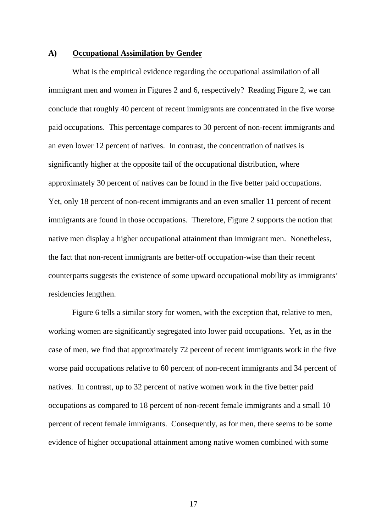## **A) Occupational Assimilation by Gender**

What is the empirical evidence regarding the occupational assimilation of all immigrant men and women in Figures 2 and 6, respectively? Reading Figure 2, we can conclude that roughly 40 percent of recent immigrants are concentrated in the five worse paid occupations. This percentage compares to 30 percent of non-recent immigrants and an even lower 12 percent of natives. In contrast, the concentration of natives is significantly higher at the opposite tail of the occupational distribution, where approximately 30 percent of natives can be found in the five better paid occupations. Yet, only 18 percent of non-recent immigrants and an even smaller 11 percent of recent immigrants are found in those occupations. Therefore, Figure 2 supports the notion that native men display a higher occupational attainment than immigrant men. Nonetheless, the fact that non-recent immigrants are better-off occupation-wise than their recent counterparts suggests the existence of some upward occupational mobility as immigrants' residencies lengthen.

Figure 6 tells a similar story for women, with the exception that, relative to men, working women are significantly segregated into lower paid occupations. Yet, as in the case of men, we find that approximately 72 percent of recent immigrants work in the five worse paid occupations relative to 60 percent of non-recent immigrants and 34 percent of natives. In contrast, up to 32 percent of native women work in the five better paid occupations as compared to 18 percent of non-recent female immigrants and a small 10 percent of recent female immigrants. Consequently, as for men, there seems to be some evidence of higher occupational attainment among native women combined with some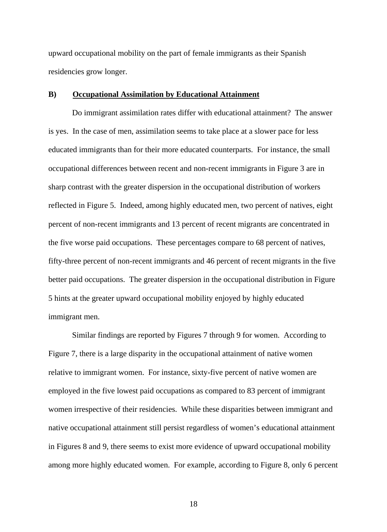upward occupational mobility on the part of female immigrants as their Spanish residencies grow longer.

## **B) Occupational Assimilation by Educational Attainment**

Do immigrant assimilation rates differ with educational attainment? The answer is yes. In the case of men, assimilation seems to take place at a slower pace for less educated immigrants than for their more educated counterparts. For instance, the small occupational differences between recent and non-recent immigrants in Figure 3 are in sharp contrast with the greater dispersion in the occupational distribution of workers reflected in Figure 5. Indeed, among highly educated men, two percent of natives, eight percent of non-recent immigrants and 13 percent of recent migrants are concentrated in the five worse paid occupations. These percentages compare to 68 percent of natives, fifty-three percent of non-recent immigrants and 46 percent of recent migrants in the five better paid occupations. The greater dispersion in the occupational distribution in Figure 5 hints at the greater upward occupational mobility enjoyed by highly educated immigrant men.

Similar findings are reported by Figures 7 through 9 for women. According to Figure 7, there is a large disparity in the occupational attainment of native women relative to immigrant women. For instance, sixty-five percent of native women are employed in the five lowest paid occupations as compared to 83 percent of immigrant women irrespective of their residencies. While these disparities between immigrant and native occupational attainment still persist regardless of women's educational attainment in Figures 8 and 9, there seems to exist more evidence of upward occupational mobility among more highly educated women. For example, according to Figure 8, only 6 percent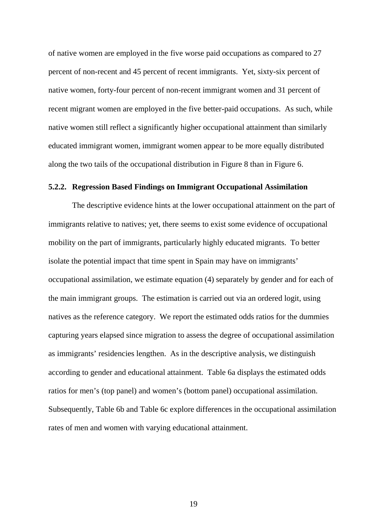of native women are employed in the five worse paid occupations as compared to 27 percent of non-recent and 45 percent of recent immigrants. Yet, sixty-six percent of native women, forty-four percent of non-recent immigrant women and 31 percent of recent migrant women are employed in the five better-paid occupations. As such, while native women still reflect a significantly higher occupational attainment than similarly educated immigrant women, immigrant women appear to be more equally distributed along the two tails of the occupational distribution in Figure 8 than in Figure 6.

## **5.2.2. Regression Based Findings on Immigrant Occupational Assimilation**

The descriptive evidence hints at the lower occupational attainment on the part of immigrants relative to natives; yet, there seems to exist some evidence of occupational mobility on the part of immigrants, particularly highly educated migrants. To better isolate the potential impact that time spent in Spain may have on immigrants' occupational assimilation, we estimate equation (4) separately by gender and for each of the main immigrant groups. The estimation is carried out via an ordered logit, using natives as the reference category. We report the estimated odds ratios for the dummies capturing years elapsed since migration to assess the degree of occupational assimilation as immigrants' residencies lengthen. As in the descriptive analysis, we distinguish according to gender and educational attainment. Table 6a displays the estimated odds ratios for men's (top panel) and women's (bottom panel) occupational assimilation. Subsequently, Table 6b and Table 6c explore differences in the occupational assimilation rates of men and women with varying educational attainment.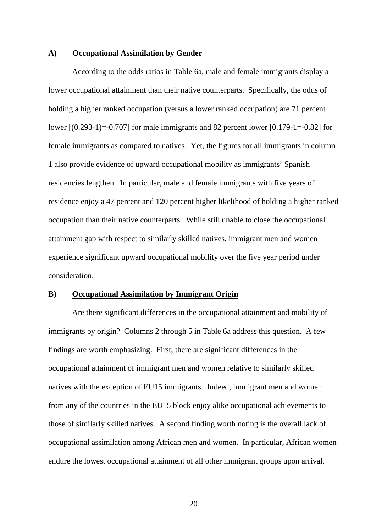## **A) Occupational Assimilation by Gender**

According to the odds ratios in Table 6a, male and female immigrants display a lower occupational attainment than their native counterparts. Specifically, the odds of holding a higher ranked occupation (versus a lower ranked occupation) are 71 percent lower [(0.293-1)=-0.707] for male immigrants and 82 percent lower [0.179-1=-0.82] for female immigrants as compared to natives. Yet, the figures for all immigrants in column 1 also provide evidence of upward occupational mobility as immigrants' Spanish residencies lengthen. In particular, male and female immigrants with five years of residence enjoy a 47 percent and 120 percent higher likelihood of holding a higher ranked occupation than their native counterparts. While still unable to close the occupational attainment gap with respect to similarly skilled natives, immigrant men and women experience significant upward occupational mobility over the five year period under consideration.

#### **B) Occupational Assimilation by Immigrant Origin**

Are there significant differences in the occupational attainment and mobility of immigrants by origin? Columns 2 through 5 in Table 6a address this question. A few findings are worth emphasizing. First, there are significant differences in the occupational attainment of immigrant men and women relative to similarly skilled natives with the exception of EU15 immigrants. Indeed, immigrant men and women from any of the countries in the EU15 block enjoy alike occupational achievements to those of similarly skilled natives. A second finding worth noting is the overall lack of occupational assimilation among African men and women. In particular, African women endure the lowest occupational attainment of all other immigrant groups upon arrival.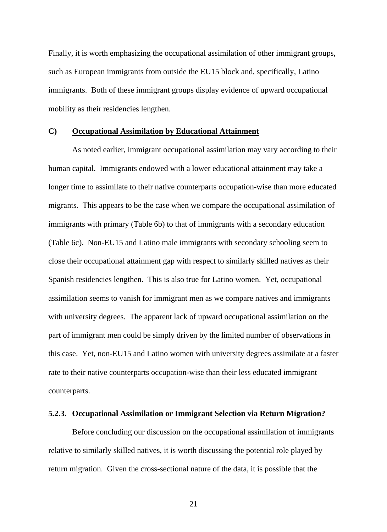Finally, it is worth emphasizing the occupational assimilation of other immigrant groups, such as European immigrants from outside the EU15 block and, specifically, Latino immigrants. Both of these immigrant groups display evidence of upward occupational mobility as their residencies lengthen.

## **C) Occupational Assimilation by Educational Attainment**

As noted earlier, immigrant occupational assimilation may vary according to their human capital. Immigrants endowed with a lower educational attainment may take a longer time to assimilate to their native counterparts occupation-wise than more educated migrants. This appears to be the case when we compare the occupational assimilation of immigrants with primary (Table 6b) to that of immigrants with a secondary education (Table 6c). Non-EU15 and Latino male immigrants with secondary schooling seem to close their occupational attainment gap with respect to similarly skilled natives as their Spanish residencies lengthen. This is also true for Latino women. Yet, occupational assimilation seems to vanish for immigrant men as we compare natives and immigrants with university degrees. The apparent lack of upward occupational assimilation on the part of immigrant men could be simply driven by the limited number of observations in this case. Yet, non-EU15 and Latino women with university degrees assimilate at a faster rate to their native counterparts occupation-wise than their less educated immigrant counterparts.

## **5.2.3. Occupational Assimilation or Immigrant Selection via Return Migration?**

Before concluding our discussion on the occupational assimilation of immigrants relative to similarly skilled natives, it is worth discussing the potential role played by return migration. Given the cross-sectional nature of the data, it is possible that the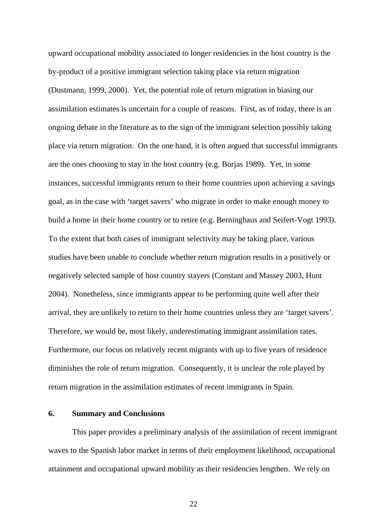upward occupational mobility associated to longer residencies in the host country is the by-product of a positive immigrant selection taking place via return migration (Dustmann, 1999, 2000). Yet, the potential role of return migration in biasing our assimilation estimates is uncertain for a couple of reasons. First, as of today, there is an ongoing debate in the literature as to the sign of the immigrant selection possibly taking place via return migration. On the one hand, it is often argued that successful immigrants are the ones choosing to stay in the host country (e.g. Borjas 1989). Yet, in some instances, successful immigrants return to their home countries upon achieving a savings goal, as in the case with 'target savers' who migrate in order to make enough money to build a home in their home country or to retire (e.g. Berninghaus and Seifert-Vogt 1993). To the extent that both cases of immigrant selectivity may be taking place, various studies have been unable to conclude whether return migration results in a positively or negatively selected sample of host country stayers (Constant and Massey 2003, Hunt 2004). Nonetheless, since immigrants appear to be performing quite well after their arrival, they are unlikely to return to their home countries unless they are 'target savers'. Therefore, we would be, most likely, underestimating immigrant assimilation rates. Furthermore, our focus on relatively recent migrants with up to five years of residence diminishes the role of return migration. Consequently, it is unclear the role played by return migration in the assimilation estimates of recent immigrants in Spain.

## **6. Summary and Conclusions**

This paper provides a preliminary analysis of the assimilation of recent immigrant waves to the Spanish labor market in terms of their employment likelihood, occupational attainment and occupational upward mobility as their residencies lengthen. We rely on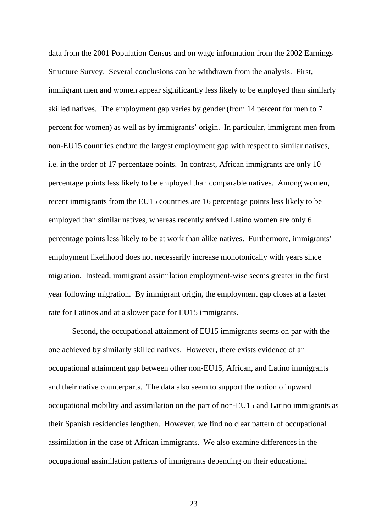data from the 2001 Population Census and on wage information from the 2002 Earnings Structure Survey. Several conclusions can be withdrawn from the analysis. First, immigrant men and women appear significantly less likely to be employed than similarly skilled natives. The employment gap varies by gender (from 14 percent for men to 7 percent for women) as well as by immigrants' origin. In particular, immigrant men from non-EU15 countries endure the largest employment gap with respect to similar natives, i.e. in the order of 17 percentage points. In contrast, African immigrants are only 10 percentage points less likely to be employed than comparable natives. Among women, recent immigrants from the EU15 countries are 16 percentage points less likely to be employed than similar natives, whereas recently arrived Latino women are only 6 percentage points less likely to be at work than alike natives. Furthermore, immigrants' employment likelihood does not necessarily increase monotonically with years since migration. Instead, immigrant assimilation employment-wise seems greater in the first year following migration. By immigrant origin, the employment gap closes at a faster rate for Latinos and at a slower pace for EU15 immigrants.

Second, the occupational attainment of EU15 immigrants seems on par with the one achieved by similarly skilled natives. However, there exists evidence of an occupational attainment gap between other non-EU15, African, and Latino immigrants and their native counterparts. The data also seem to support the notion of upward occupational mobility and assimilation on the part of non-EU15 and Latino immigrants as their Spanish residencies lengthen. However, we find no clear pattern of occupational assimilation in the case of African immigrants. We also examine differences in the occupational assimilation patterns of immigrants depending on their educational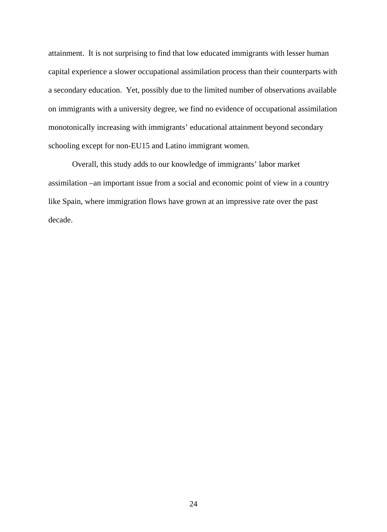attainment. It is not surprising to find that low educated immigrants with lesser human capital experience a slower occupational assimilation process than their counterparts with a secondary education. Yet, possibly due to the limited number of observations available on immigrants with a university degree, we find no evidence of occupational assimilation monotonically increasing with immigrants' educational attainment beyond secondary schooling except for non-EU15 and Latino immigrant women.

Overall, this study adds to our knowledge of immigrants' labor market assimilation –an important issue from a social and economic point of view in a country like Spain, where immigration flows have grown at an impressive rate over the past decade.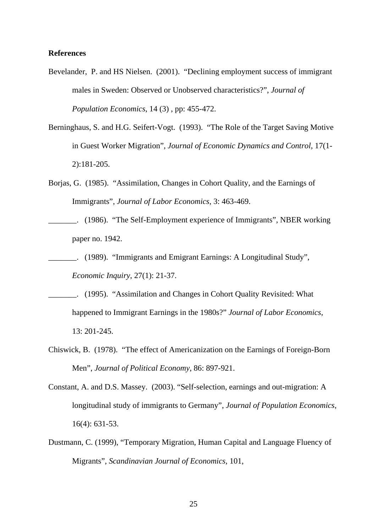## **References**

- Bevelander, P. and HS Nielsen. (2001). "Declining employment success of immigrant males in Sweden: Observed or Unobserved characteristics?", *Journal of Population Economics*, 14 (3) , pp: 455-472.
- Berninghaus, S. and H.G. Seifert-Vogt. (1993). "The Role of the Target Saving Motive in Guest Worker Migration", *Journal of Economic Dynamics and Control*, 17(1- 2):181-205.
- Borjas, G. (1985). "Assimilation, Changes in Cohort Quality, and the Earnings of Immigrants", *Journal of Labor Economics*, 3: 463-469.
- \_\_\_\_\_\_\_. (1986). "The Self-Employment experience of Immigrants", NBER working paper no. 1942.
- \_\_\_\_\_\_\_. (1989). "Immigrants and Emigrant Earnings: A Longitudinal Study", *Economic Inquiry*, 27(1): 21-37.
- \_\_\_\_\_\_\_. (1995). "Assimilation and Changes in Cohort Quality Revisited: What happened to Immigrant Earnings in the 1980s?" *Journal of Labor Economics*, 13: 201-245.
- Chiswick, B. (1978). "The effect of Americanization on the Earnings of Foreign-Born Men", *Journal of Political Economy*, 86: 897-921.
- Constant, A. and D.S. Massey. (2003). "Self-selection, earnings and out-migration: A longitudinal study of immigrants to Germany", *Journal of Population Economics*, 16(4): 631-53.
- Dustmann, C. (1999), "Temporary Migration, Human Capital and Language Fluency of Migrants", *Scandinavian Journal of Economics*, 101,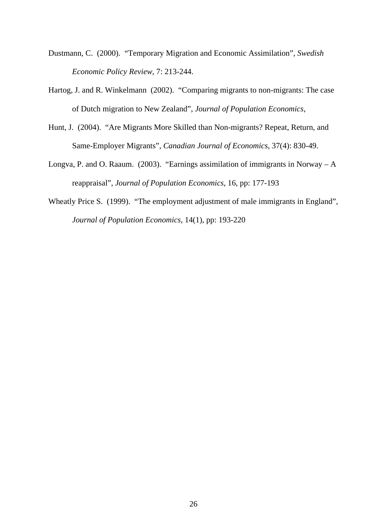- Dustmann, C. (2000). "Temporary Migration and Economic Assimilation", *Swedish Economic Policy Review*, 7: 213-244.
- Hartog, J. and R. Winkelmann (2002). "Comparing migrants to non-migrants: The case of Dutch migration to New Zealand", *Journal of Population Economics*,
- Hunt, J. (2004). "Are Migrants More Skilled than Non-migrants? Repeat, Return, and Same-Employer Migrants", *Canadian Journal of Economics*, 37(4): 830-49.
- Longva, P. and O. Raaum. (2003). "Earnings assimilation of immigrants in Norway A reappraisal", *Journal of Population Economics*, 16, pp: 177-193
- Wheatly Price S. (1999). "The employment adjustment of male immigrants in England", *Journal of Population Economics*, 14(1), pp: 193-220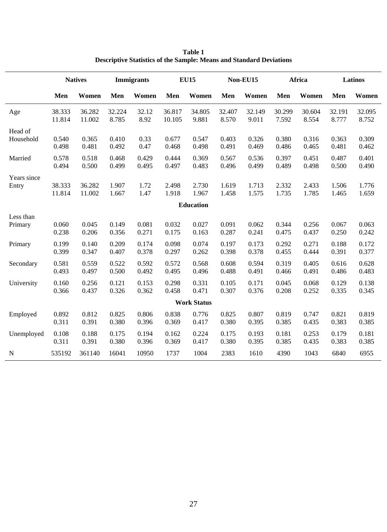|                    |        | <b>Natives</b> |        | <b>Immigrants</b> |        | <b>EU15</b> |        | Non-EU15 |        | Africa |        | Latinos |
|--------------------|--------|----------------|--------|-------------------|--------|-------------|--------|----------|--------|--------|--------|---------|
|                    | Men    | Women          | Men    | Women             | Men    | Women       | Men    | Women    | Men    | Women  | Men    | Women   |
| Age                | 38.333 | 36.282         | 32.224 | 32.12             | 36.817 | 34.805      | 32.407 | 32.149   | 30.299 | 30.604 | 32.191 | 32.095  |
|                    | 11.814 | 11.002         | 8.785  | 8.92              | 10.105 | 9.881       | 8.570  | 9.011    | 7.592  | 8.554  | 8.777  | 8.752   |
| Head of            | 0.540  | 0.365          | 0.410  | 0.33              | 0.677  | 0.547       | 0.403  | 0.326    | 0.380  | 0.316  | 0.363  | 0.309   |
| Household          | 0.498  | 0.481          | 0.492  | 0.47              | 0.468  | 0.498       | 0.491  | 0.469    | 0.486  | 0.465  | 0.481  | 0.462   |
| Married            | 0.578  | 0.518          | 0.468  | 0.429             | 0.444  | 0.369       | 0.567  | 0.536    | 0.397  | 0.451  | 0.487  | 0.401   |
|                    | 0.494  | 0.500          | 0.499  | 0.495             | 0.497  | 0.483       | 0.496  | 0.499    | 0.489  | 0.498  | 0.500  | 0.490   |
| Years since        | 38.333 | 36.282         | 1.907  | 1.72              | 2.498  | 2.730       | 1.619  | 1.713    | 2.332  | 2.433  | 1.506  | 1.776   |
| Entry              | 11.814 | 11.002         | 1.667  | 1.47              | 1.918  | 1.967       | 1.458  | 1.575    | 1.735  | 1.785  | 1.465  | 1.659   |
|                    |        |                |        |                   |        | Education   |        |          |        |        |        |         |
| Less than          | 0.060  | 0.045          | 0.149  | 0.081             | 0.032  | 0.027       | 0.091  | 0.062    | 0.344  | 0.256  | 0.067  | 0.063   |
| Primary            | 0.238  | 0.206          | 0.356  | 0.271             | 0.175  | 0.163       | 0.287  | 0.241    | 0.475  | 0.437  | 0.250  | 0.242   |
| Primary            | 0.199  | 0.140          | 0.209  | 0.174             | 0.098  | 0.074       | 0.197  | 0.173    | 0.292  | 0.271  | 0.188  | 0.172   |
|                    | 0.399  | 0.347          | 0.407  | 0.378             | 0.297  | 0.262       | 0.398  | 0.378    | 0.455  | 0.444  | 0.391  | 0.377   |
| Secondary          | 0.581  | 0.559          | 0.522  | 0.592             | 0.572  | 0.568       | 0.608  | 0.594    | 0.319  | 0.405  | 0.616  | 0.628   |
|                    | 0.493  | 0.497          | 0.500  | 0.492             | 0.495  | 0.496       | 0.488  | 0.491    | 0.466  | 0.491  | 0.486  | 0.483   |
| University         | 0.160  | 0.256          | 0.121  | 0.153             | 0.298  | 0.331       | 0.105  | 0.171    | 0.045  | 0.068  | 0.129  | 0.138   |
|                    | 0.366  | 0.437          | 0.326  | 0.362             | 0.458  | 0.471       | 0.307  | 0.376    | 0.208  | 0.252  | 0.335  | 0.345   |
| <b>Work Status</b> |        |                |        |                   |        |             |        |          |        |        |        |         |
| Employed           | 0.892  | 0.812          | 0.825  | 0.806             | 0.838  | 0.776       | 0.825  | 0.807    | 0.819  | 0.747  | 0.821  | 0.819   |
|                    | 0.311  | 0.391          | 0.380  | 0.396             | 0.369  | 0.417       | 0.380  | 0.395    | 0.385  | 0.435  | 0.383  | 0.385   |
| Unemployed         | 0.108  | 0.188          | 0.175  | 0.194             | 0.162  | 0.224       | 0.175  | 0.193    | 0.181  | 0.253  | 0.179  | 0.181   |
|                    | 0.311  | 0.391          | 0.380  | 0.396             | 0.369  | 0.417       | 0.380  | 0.395    | 0.385  | 0.435  | 0.383  | 0.385   |
| N                  | 535192 | 361140         | 16041  | 10950             | 1737   | 1004        | 2383   | 1610     | 4390   | 1043   | 6840   | 6955    |

**Table 1 Descriptive Statistics of the Sample: Means and Standard Deviations**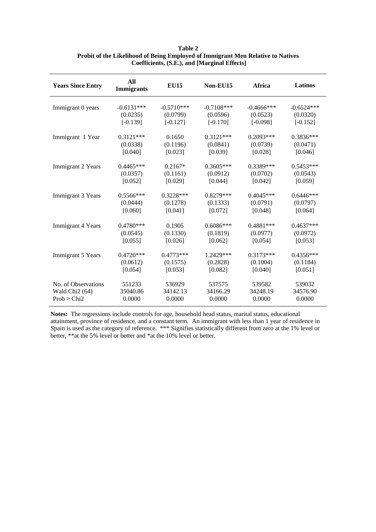| <b>Years Since Entry</b>   | All<br><b>Immigrants</b> | <b>EU15</b>  | Non-EU15     | <b>Africa</b> | <b>Latinos</b> |
|----------------------------|--------------------------|--------------|--------------|---------------|----------------|
| Immigrant 0 years          | $-0.6131***$             | $-0.5710***$ | $-0.7108***$ | $-0.4666$ *** | $-0.6524***$   |
|                            | (0.0235)                 | (0.0799)     | (0.0596)     | (0.0523)      | (0.0320)       |
|                            | $[-0.139]$               | $[-0.127]$   | $[-0.170]$   | $[-0.098]$    | $[-0.152]$     |
| Immigrant 1 Year           | $0.3121***$              | 0.1650       | $0.3121***$  | $0.2093***$   | $0.3836***$    |
|                            | (0.0338)                 | (0.1196)     | (0.0841)     | (0.0739)      | (0.0471)       |
|                            | [0.040]                  | [0.023]      | [0.039]      | [0.028]       | [0.046]        |
| Immigrant 2 Years          | $0.4465***$              | $0.2167*$    | $0.3605***$  | 0.3389***     | $0.5453***$    |
|                            | (0.0357)                 | (0.1161)     | (0.0912)     | (0.0702)      | (0.0543)       |
|                            | [0.052]                  | [0.029]      | [0.044]      | [0.042]       | [0.059]        |
| <b>Immigrant 3 Years</b>   | $0.5566***$              | $0.3228***$  | $0.8279***$  | $0.4045***$   | $0.6446***$    |
|                            | (0.0444)                 | (0.1278)     | (0.1333)     | (0.0791)      | (0.0797)       |
|                            | [0.060]                  | [0.041]      | [0.072]      | [0.048]       | [0.064]        |
| Immigrant 4 Years          | $0.4780***$              | 0.1905       | $0.6086***$  | $0.4881***$   | $0.4637***$    |
|                            | (0.0545)                 | (0.1330)     | (0.1819)     | (0.0977)      | (0.0972)       |
|                            | [0.055]                  | [0.026]      | [0.062]      | [0.054]       | [0.053]        |
| Immigrant 5 Years          | $0.4720***$              | $0.4773***$  | 1.2429***    | $0.3173***$   | $0.4356***$    |
|                            | (0.0612)                 | (0.1575)     | (0.2828)     | (0.1004)      | (0.1184)       |
|                            | [0.054]                  | [0.053]      | [0.082]      | [0.040]       | [0.051]        |
| No. of Observations        | 551233                   | 536929       | 537575       | 539582        | 539032         |
| Wald Chi <sub>2</sub> (64) | 35040.86                 | 34142.13     | 34166.29     | 34248.19      | 34576.90       |
| Prob > Chi2                | 0.0000                   | 0.0000       | 0.0000       | 0.0000        | 0.0000         |

## **Table 2 Probit of the Likelihood of Being Employed of Immigrant Men Relative to Natives Coefficients, (S.E.), and [Marginal Effects]**

**Notes:** The regressions include controls for age, household head status, marital status, educational attainment, province of residence, and a constant term. An immigrant with less than 1 year of residence in Spain is used as the category of reference. \*\*\* Signifies statistically different from zero at the 1% level or better, \*\*at the 5% level or better and \*at the 10% level or better.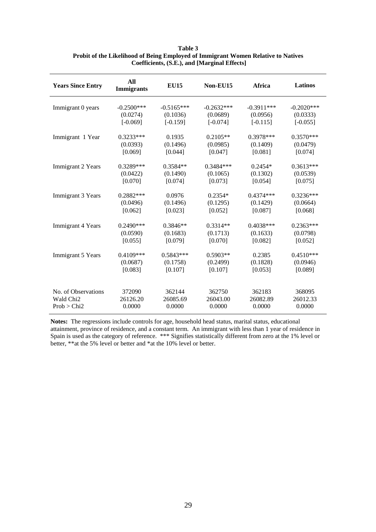| <b>Years Since Entry</b> | All<br><b>Immigrants</b> | <b>EU15</b>  | Non-EU15     | Africa       | Latinos       |
|--------------------------|--------------------------|--------------|--------------|--------------|---------------|
| Immigrant 0 years        | $-0.2500***$             | $-0.5165***$ | $-0.2632***$ | $-0.3911***$ | $-0.2020$ *** |
|                          | (0.0274)                 | (0.1036)     | (0.0689)     | (0.0956)     | (0.0333)      |
|                          | $[-0.069]$               | $[-0.159]$   | $[-0.074]$   | $[-0.115]$   | $[-0.055]$    |
| Immigrant 1 Year         | $0.3233***$              | 0.1935       | $0.2105**$   | $0.3978***$  | $0.3570***$   |
|                          | (0.0393)                 | (0.1496)     | (0.0985)     | (0.1409)     | (0.0479)      |
|                          | [0.069]                  | [0.044]      | [0.047]      | [0.081]      | [0.074]       |
| Immigrant 2 Years        | $0.3289***$              | $0.3584**$   | $0.3484***$  | $0.2454*$    | $0.3613***$   |
|                          | (0.0422)                 | (0.1490)     | (0.1065)     | (0.1302)     | (0.0539)      |
|                          | [0.070]                  | [0.074]      | [0.073]      | [0.054]      | [0.075]       |
| Immigrant 3 Years        | $0.2882***$              | 0.0976       | $0.2354*$    | $0.4374***$  | $0.3236***$   |
|                          | (0.0496)                 | (0.1496)     | (0.1295)     | (0.1429)     | (0.0664)      |
|                          | [0.062]                  | [0.023]      | [0.052]      | [0.087]      | [0.068]       |
| Immigrant 4 Years        | $0.2490***$              | $0.3846**$   | $0.3314**$   | $0.4038***$  | $0.2363***$   |
|                          | (0.0590)                 | (0.1683)     | (0.1713)     | (0.1633)     | (0.0798)      |
|                          | [0.055]                  | [0.079]      | [0.070]      | [0.082]      | [0.052]       |
| Immigrant 5 Years        | $0.4109***$              | $0.5843***$  | $0.5903**$   | 0.2385       | $0.4510***$   |
|                          | (0.0687)                 | (0.1758)     | (0.2499)     | (0.1828)     | (0.0946)      |
|                          | [0.083]                  | [0.107]      | [0.107]      | [0.053]      | [0.089]       |
| No. of Observations      | 372090                   | 362144       | 362750       | 362183       | 368095        |
| Wald Chi <sub>2</sub>    | 26126.20                 | 26085.69     | 26043.00     | 26082.89     | 26012.33      |
| Prob > Chi2              | 0.0000                   | 0.0000       | 0.0000       | 0.0000       | 0.0000        |

**Table 3 Probit of the Likelihood of Being Employed of Immigrant Women Relative to Natives Coefficients, (S.E.), and [Marginal Effects]**

**Notes:** The regressions include controls for age, household head status, marital status, educational attainment, province of residence, and a constant term. An immigrant with less than 1 year of residence in Spain is used as the category of reference. \*\*\* Signifies statistically different from zero at the 1% level or better, \*\*at the 5% level or better and \*at the 10% level or better.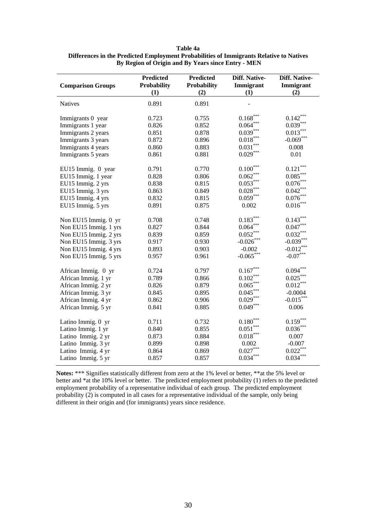| Table 4a                                                                                |
|-----------------------------------------------------------------------------------------|
| Differences in the Predicted Employment Probabilities of Immigrants Relative to Natives |
| By Region of Origin and By Years since Entry - MEN                                      |

| <b>Comparison Groups</b> | <b>Predicted</b><br><b>Probability</b><br>(1) | <b>Predicted</b><br><b>Probability</b><br>(2) | Diff. Native-<br>Immigrant<br>(1) | Diff. Native-<br>Immigrant<br>(2) |
|--------------------------|-----------------------------------------------|-----------------------------------------------|-----------------------------------|-----------------------------------|
| <b>Natives</b>           | 0.891                                         | 0.891                                         |                                   |                                   |
| Immigrants 0 year        | 0.723                                         | 0.755                                         | $0.168***$                        | $0.142***$                        |
| Immigrants 1 year        | 0.826                                         | 0.852                                         | $0.064***$                        | $0.039***$                        |
| Immigrants 2 years       | 0.851                                         | 0.878                                         | $0.039***$                        | $0.013***$                        |
| Immigrants 3 years       | 0.872                                         | 0.896                                         | $0.018***$                        | $-0.069***$                       |
| Immigrants 4 years       | 0.860                                         | 0.883                                         | $0.031***$                        | 0.008                             |
| Immigrants 5 years       | 0.861                                         | 0.881                                         | $0.029***$                        | 0.01                              |
| EU15 Immig. 0 year       | 0.791                                         | 0.770                                         | $0.100***$                        | $0.121***$                        |
| EU15 Immig. 1 year       | 0.828                                         | 0.806                                         | $0.062***$                        | $0.085^{\ast\ast\ast}$            |
| EU15 Immig. 2 yrs        | 0.838                                         | 0.815                                         | $0.053***$                        | $0.076***$                        |
| EU15 Immig. 3 yrs        | 0.863                                         | 0.849                                         | $0.028***$                        | $0.042***$                        |
| EU15 Immig. 4 yrs        | 0.832                                         | 0.815                                         | $0.059***$                        | $0.076***$                        |
| EU15 Immig. 5 yrs        | 0.891                                         | 0.875                                         | 0.002                             | $0.016***$                        |
| Non EU15 Immig. 0 yr     | 0.708                                         | 0.748                                         | $0.183***$                        | $0.143***$                        |
| Non EU15 Immig. 1 yrs    | 0.827                                         | 0.844                                         | $0.064***$                        | $0.047***$                        |
| Non EU15 Immig. 2 yrs    | 0.839                                         | 0.859                                         | $0.052***$                        | $0.032***$                        |
| Non EU15 Immig. 3 yrs    | 0.917                                         | 0.930                                         | $-0.026$ ***                      | $-0.039***$                       |
| Non EU15 Immig. 4 yrs    | 0.893                                         | 0.903                                         | $-0.002$                          | $-0.012***$                       |
| Non EU15 Immig. 5 yrs    | 0.957                                         | 0.961                                         | $-0.065***$                       | $-0.07***$                        |
| African Immig. 0 yr      | 0.724                                         | 0.797                                         | $0.167***$                        | $0.094***$                        |
| African Immig. 1 yr      | 0.789                                         | 0.866                                         | $0.102***$                        | $0.025***$                        |
| African Immig. 2 yr      | 0.826                                         | 0.879                                         | $0.065***$                        | $0.012***$                        |
| African Immig. 3 yr      | 0.845                                         | 0.895                                         | $0.045***$                        | $-0.0004$                         |
| African Immig. 4 yr      | 0.862                                         | 0.906                                         | $0.029***$                        | $-0.015***$                       |
| African Immig. 5 yr      | 0.841                                         | 0.885                                         | $0.049***$                        | 0.006                             |
| Latino Immig. 0 yr       | 0.711                                         | 0.732                                         | $0.180***$                        | $0.159***$                        |
| Latino Immig. 1 yr       | 0.840                                         | 0.855                                         | $0.051***$                        | $0.036***$                        |
| Latino Immig. 2 yr       | 0.873                                         | 0.884                                         | $0.018^{\ast\ast\ast}$            | 0.007                             |
| Latino Immig. 3 yr       | 0.899                                         | 0.898                                         | 0.002                             | $-0.007$                          |
| Latino Immig. 4 yr       | 0.864                                         | 0.869                                         | $0.027***$                        | $0.022***$                        |
| Latino Immig. 5 yr       | 0.857                                         | 0.857                                         | $0.034***$                        | $0.034***$                        |

**Notes:** \*\*\* Signifies statistically different from zero at the 1% level or better, \*\*at the 5% level or better and \*at the 10% level or better. The predicted employment probability (1) refers to the predicted employment probability of a representative individual of each group. The predicted employment probability (2) is computed in all cases for a representative individual of the sample, only being different in their origin and (for immigrants) years since residence.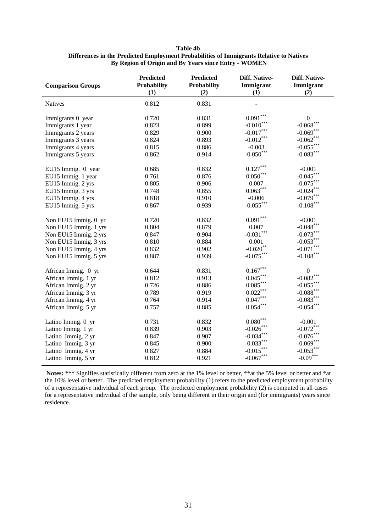| Table 4b                                                                                |
|-----------------------------------------------------------------------------------------|
| Differences in the Predicted Employment Probabilities of Immigrants Relative to Natives |
| By Region of Origin and By Years since Entry - WOMEN                                    |

| <b>Comparison Groups</b> | <b>Predicted</b><br>Probability<br>(1) | <b>Predicted</b><br>Probability<br>(2) | Diff. Native-<br>Immigrant<br>(1) | Diff. Native-<br>Immigrant<br>(2) |
|--------------------------|----------------------------------------|----------------------------------------|-----------------------------------|-----------------------------------|
| <b>Natives</b>           | 0.812                                  | 0.831                                  |                                   |                                   |
| Immigrants 0 year        | 0.720                                  | 0.831                                  | $0.091***$                        | $\boldsymbol{0}$                  |
| Immigrants 1 year        | 0.823                                  | 0.899                                  | $-0.010***$                       | $-0.068$ ***                      |
| Immigrants 2 years       | 0.829                                  | 0.900                                  | $-0.017***$                       | $-0.069$ ***                      |
| Immigrants 3 years       | 0.824                                  | 0.893                                  | $-0.012***$                       | $-0.062***$                       |
| Immigrants 4 years       | 0.815                                  | 0.886                                  | $-0.003$                          | $-0.055***$                       |
| Immigrants 5 years       | 0.862                                  | 0.914                                  | $-0.050***$                       | $-0.083***$                       |
| EU15 Immig. 0 year       | 0.685                                  | 0.832                                  | $0.127***$                        | $-0.001$                          |
| EU15 Immig. 1 year       | 0.761                                  | 0.876                                  | $0.050***$                        | $-0.045***$                       |
| EU15 Immig. 2 yrs        | 0.805                                  | 0.906                                  | 0.007                             | $-0.075***$                       |
| EU15 Immig. 3 yrs        | 0.748                                  | 0.855                                  | $0.063***$                        | $-0.024***$                       |
| EU15 Immig. 4 yrs        | 0.818                                  | 0.910                                  | $-0.006$                          | $-0.079***$                       |
| EU15 Immig. 5 yrs        | 0.867                                  | 0.939                                  | $-0.055***$                       | $\textbf{-0.108}^{\ast\ast\ast}$  |
| Non EU15 Immig. 0 yr     | 0.720                                  | 0.832                                  | $0.091***$                        | $-0.001$                          |
| Non EU15 Immig. 1 yrs    | 0.804                                  | 0.879                                  | 0.007                             | $-0.048$ ***                      |
| Non EU15 Immig. 2 yrs    | 0.847                                  | 0.904                                  | $-0.031***$                       | $-0.073***$                       |
| Non EU15 Immig. 3 yrs    | 0.810                                  | 0.884                                  | 0.001                             | $-0.053***$                       |
| Non EU15 Immig. 4 yrs    | 0.832                                  | 0.902                                  | $-0.020$ **                       | $\textbf{-0.071}^{***}$           |
| Non EU15 Immig. 5 yrs    | 0.887                                  | 0.939                                  | $-0.075***$                       | $\textbf{-0.108}^{\ast\ast\ast}$  |
| African Immig. 0 yr      | 0.644                                  | 0.831                                  | $0.167***$                        | $\boldsymbol{0}$                  |
| African Immig. 1 yr      | 0.812                                  | 0.913                                  | $0.045***$                        | $-0.082***$                       |
| African Immig. 2 yr      | 0.726                                  | 0.886                                  | $0.085***$                        | $-0.055***$                       |
| African Immig. 3 yr      | 0.789                                  | 0.919                                  | $0.022***$                        | $-0.088$ ***                      |
| African Immig. 4 yr      | 0.764                                  | 0.914                                  | $0.047***$                        | $-0.083***$                       |
| African Immig. 5 yr      | 0.757                                  | 0.885                                  | $0.054***$                        | $-0.054***$                       |
| Latino Immig. 0 yr       | 0.731                                  | 0.832                                  | $0.080^{\ast\ast\ast}$            | $-0.001$                          |
| Latino Immig. 1 yr       | 0.839                                  | 0.903                                  | $-0.026$ ***                      | $-0.072***$                       |
| Latino Immig. 2 yr       | 0.847                                  | 0.907                                  | $-0.034***$                       | $-0.076$ ***                      |
| Latino Immig. 3 yr       | 0.845                                  | 0.900                                  | $-0.033***$                       | $-0.069$ ***                      |
| Latino Immig. 4 yr       | 0.827                                  | 0.884                                  | $-0.015***$                       | $-0.053***$                       |
| Latino Immig. 5 yr       | 0.812                                  | 0.921                                  | $-0.067***$                       | $-0.09***$                        |

 **Notes:** \*\*\* Signifies statistically different from zero at the 1% level or better, \*\*at the 5% level or better and \*at the 10% level or better. The predicted employment probability (1) refers to the predicted employment probability of a representative individual of each group. The predicted employment probability (2) is computed in all cases for a representative individual of the sample, only being different in their origin and (for immigrants) years since residence.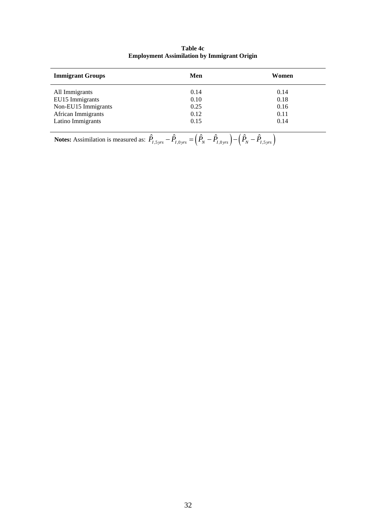| <b>Immigrant Groups</b> | Men  | Women |
|-------------------------|------|-------|
| All Immigrants          | 0.14 | 0.14  |
| EU15 Immigrants         | 0.10 | 0.18  |
| Non-EU15 Immigrants     | 0.25 | 0.16  |
| African Immigrants      | 0.12 | 0.11  |
| Latino Immigrants       | 0.15 | 0.14  |

**Table 4c Employment Assimilation by Immigrant Origin**

**Notes:** Assimilation is measured as:  $\hat{P}_{I,5\,yrs} - \hat{P}_{I,0\,yrs} = (\hat{P}_N - \hat{P}_{I,0\,yrs}) - (\hat{P}_N - \hat{P}_{I,5\,yrs})$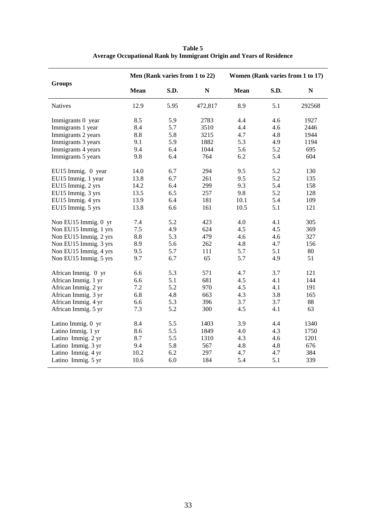|                       |             | Men (Rank varies from 1 to 22) |           | Women (Rank varies from 1 to 17) |      |             |
|-----------------------|-------------|--------------------------------|-----------|----------------------------------|------|-------------|
| <b>Groups</b>         | <b>Mean</b> | S.D.                           | ${\bf N}$ | <b>Mean</b>                      | S.D. | $\mathbf N$ |
| <b>Natives</b>        | 12.9        | 5.95                           | 472,817   | 8.9                              | 5.1  | 292568      |
| Immigrants 0 year     | 8.5         | 5.9                            | 2783      | 4.4                              | 4.6  | 1927        |
| Immigrants 1 year     | 8.4         | 5.7                            | 3510      | 4.4                              | 4.6  | 2446        |
| Immigrants 2 years    | 8.8         | 5.8                            | 3215      | 4.7                              | 4.8  | 1944        |
| Immigrants 3 years    | 9.1         | 5.9                            | 1882      | 5.3                              | 4.9  | 1194        |
| Immigrants 4 years    | 9.4         | 6.4                            | 1044      | 5.6                              | 5.2  | 695         |
| Immigrants 5 years    | 9.8         | 6.4                            | 764       | 6.2                              | 5.4  | 604         |
| EU15 Immig. 0 year    | 14.0        | 6.7                            | 294       | 9.5                              | 5.2  | 130         |
| EU15 Immig. 1 year    | 13.8        | 6.7                            | 261       | 9.5                              | 5.2  | 135         |
| EU15 Immig. 2 yrs     | 14.2        | 6.4                            | 299       | 9.3                              | 5.4  | 158         |
| EU15 Immig. 3 yrs     | 13.5        | 6.5                            | 257       | 9.8                              | 5.2  | 128         |
| EU15 Immig. 4 yrs     | 13.9        | 6.4                            | 181       | 10.1                             | 5.4  | 109         |
| EU15 Immig. 5 yrs     | 13.8        | 6.6                            | 161       | 10.5                             | 5.1  | 121         |
| Non EU15 Immig. 0 yr  | 7.4         | 5.2                            | 423       | 4.0                              | 4.1  | 305         |
| Non EU15 Immig. 1 yrs | 7.5         | 4.9                            | 624       | 4.5                              | 4.5  | 369         |
| Non EU15 Immig. 2 yrs | 8.8         | 5.3                            | 479       | 4.6                              | 4.6  | 327         |
| Non EU15 Immig. 3 yrs | 8.9         | 5.6                            | 262       | 4.8                              | 4.7  | 156         |
| Non EU15 Immig. 4 yrs | 9.5         | 5.7                            | 111       | 5.7                              | 5.1  | 80          |
| Non EU15 Immig. 5 yrs | 9.7         | 6.7                            | 65        | 5.7                              | 4.9  | 51          |
| African Immig. 0 yr   | 6.6         | 5.3                            | 571       | 4.7                              | 3.7  | 121         |
| African Immig. 1 yr   | 6.6         | 5.1                            | 681       | 4.5                              | 4.1  | 144         |
| African Immig. 2 yr   | 7.2         | 5.2                            | 970       | 4.5                              | 4.1  | 191         |
| African Immig. 3 yr   | 6.8         | 4.8                            | 663       | 4.3                              | 3.8  | 165         |
| African Immig. 4 yr   | 6.6         | 5.3                            | 396       | 3.7                              | 3.7  | 88          |
| African Immig. 5 yr   | 7.3         | 5.2                            | 300       | 4.5                              | 4.1  | 63          |
| Latino Immig. 0 yr    | 8.4         | 5.5                            | 1403      | 3.9                              | 4.4  | 1340        |
| Latino Immig. 1 yr    | 8.6         | 5.5                            | 1849      | 4.0                              | 4.3  | 1750        |
| Latino Immig. 2 yr    | 8.7         | 5.5                            | 1310      | 4.3                              | 4.6  | 1201        |
| Latino Immig. 3 yr    | 9.4         | 5.8                            | 567       | 4.8                              | 4.8  | 676         |
| Latino Immig. 4 yr    | 10.2        | 6.2                            | 297       | 4.7                              | 4.7  | 384         |
| Latino Immig. 5 yr    | 10.6        | 6.0                            | 184       | 5.4                              | 5.1  | 339         |

**Table 5 Average Occupational Rank by Immigrant Origin and Years of Residence**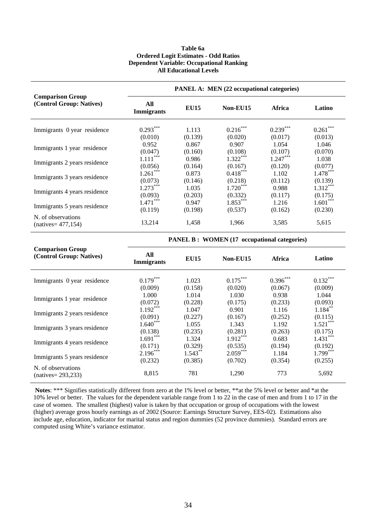#### **Table 6a Ordered Logit Estimates - Odd Ratios Dependent Variable: Occupational Ranking All Educational Levels**

|                                                     | <b>PANEL A: MEN (22 occupational categories)</b> |             |            |               |            |  |  |  |
|-----------------------------------------------------|--------------------------------------------------|-------------|------------|---------------|------------|--|--|--|
| <b>Comparison Group</b><br>(Control Group: Natives) | All<br><b>Immigrants</b>                         | <b>EU15</b> | Non-EU15   | <b>Africa</b> | Latino     |  |  |  |
| Immigrants 0 year residence                         | $0.293***$                                       | 1.113       | $0.216***$ | $0.239***$    | $0.261***$ |  |  |  |
|                                                     | (0.010)                                          | (0.139)     | (0.020)    | (0.017)       | (0.013)    |  |  |  |
| Immigrants 1 year residence                         | 0.952                                            | 0.867       | 0.907      | 1.054         | 1.046      |  |  |  |
|                                                     | (0.047)                                          | (0.160)     | (0.108)    | (0.107)       | (0.070)    |  |  |  |
| Immigrants 2 years residence                        | $1.111***$                                       | 0.986       | $1.322***$ | $1.247***$    | 1.038      |  |  |  |
|                                                     | (0.056)                                          | (0.164)     | (0.167)    | (0.120)       | (0.077)    |  |  |  |
| Immigrants 3 years residence                        | $1.261***$                                       | 0.873       | $0.418***$ | 1.102         | $1.478***$ |  |  |  |
|                                                     | (0.073)                                          | (0.146)     | (0.218)    | (0.112)       | (0.139)    |  |  |  |
| Immigrants 4 years residence                        | $1.273***$                                       | 1.035       | $1.720***$ | 0.988         | $1.312***$ |  |  |  |
|                                                     | (0.093)                                          | (0.203)     | (0.332)    | (0.117)       | (0.175)    |  |  |  |
| Immigrants 5 years residence                        | $1.471***$                                       | 0.947       | $1.853***$ | 1.216         | $1.601***$ |  |  |  |
|                                                     | (0.119)                                          | (0.198)     | (0.537)    | (0.162)       | (0.230)    |  |  |  |
| N. of observations<br>$(natives = 477, 154)$        | 13,214                                           | 1,458       | 1,966      | 3,585         | 5,615      |  |  |  |

**PANEL B : WOMEN (17 occupational categories)** 

| <b>Comparison Group</b><br>(Control Group: Natives) | All               | <b>EU15</b> | Non-EU15   | <b>Africa</b> | Latino     |
|-----------------------------------------------------|-------------------|-------------|------------|---------------|------------|
|                                                     | <b>Immigrants</b> |             |            |               |            |
| Immigrants 0 year residence                         | $0.179***$        | 1.023       | $0.175***$ | $0.396***$    | $0.132***$ |
|                                                     | (0.009)           | (0.158)     | (0.020)    | (0.067)       | (0.009)    |
| Immigrants 1 year residence                         | 1.000             | 1.014       | 1.030      | 0.938         | 1.044      |
|                                                     | (0.072)           | (0.228)     | (0.175)    | (0.233)       | (0.093)    |
| Immigrants 2 years residence                        | $1.192***$        | 1.047       | 0.901      | 1.116         | $1.184***$ |
|                                                     | (0.091)           | (0.227)     | (0.167)    | (0.252)       | (0.115)    |
| Immigrants 3 years residence                        | $1.640***$        | 1.055       | 1.343      | 1.192         | $1.521***$ |
|                                                     | (0.138)           | (0.235)     | (0.281)    | (0.263)       | (0.175)    |
| Immigrants 4 years residence                        | $1.691***$        | 1.324       | $1.912***$ | 0.683         | $1.431***$ |
|                                                     | (0.171)           | (0.329)     | (0.535)    | (0.194)       | (0.192)    |
|                                                     | $2.196***$        | $1.543***$  | $2.059***$ | 1.184         | $1.799***$ |
| Immigrants 5 years residence                        | (0.232)           | (0.385)     | (0.702)    | (0.354)       | (0.255)    |
| N. of observations<br>$(natives = 293,233)$         | 8,815             | 781         | 1,290      | 773           | 5,692      |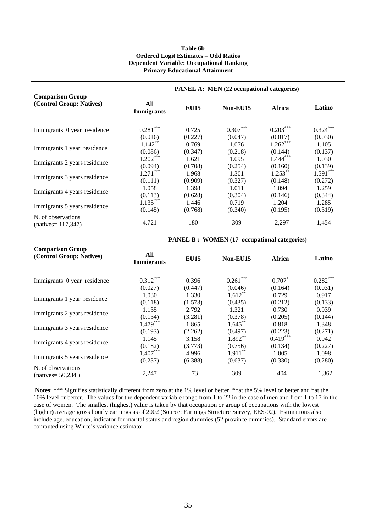#### **Table 6b Ordered Logit Estimates – Odd Ratios Dependent Variable: Occupational Ranking Primary Educational Attainment**

|                                                     | <b>PANEL A: MEN (22 occupational categories)</b> |             |            |            |            |  |  |  |
|-----------------------------------------------------|--------------------------------------------------|-------------|------------|------------|------------|--|--|--|
| <b>Comparison Group</b><br>(Control Group: Natives) | All<br><b>Immigrants</b>                         | <b>EU15</b> | Non-EU15   | Africa     | Latino     |  |  |  |
| Immigrants 0 year residence                         | $0.281***$                                       | 0.725       | $0.307***$ | $0.203***$ | $0.324***$ |  |  |  |
|                                                     | (0.016)                                          | (0.227)     | (0.047)    | (0.017)    | (0.030)    |  |  |  |
| Immigrants 1 year residence                         | $1.142***$                                       | 0.769       | 1.076      | $1.262***$ | 1.105      |  |  |  |
|                                                     | (0.086)                                          | (0.347)     | (0.218)    | (0.144)    | (0.137)    |  |  |  |
| Immigrants 2 years residence                        | $1.202***$                                       | 1.621       | 1.095      | $1.444***$ | 1.030      |  |  |  |
|                                                     | (0.094)                                          | (0.708)     | (0.254)    | (0.160)    | (0.139)    |  |  |  |
| Immigrants 3 years residence                        | $1.271***$                                       | 1.968       | 1.301      | $1.253***$ | $1.591***$ |  |  |  |
|                                                     | (0.111)                                          | (0.909)     | (0.327)    | (0.148)    | (0.272)    |  |  |  |
| Immigrants 4 years residence                        | 1.058                                            | 1.398       | 1.011      | 1.094      | 1.259      |  |  |  |
|                                                     | (0.113)                                          | (0.628)     | (0.304)    | (0.146)    | (0.344)    |  |  |  |
| Immigrants 5 years residence                        | $1.135***$                                       | 1.446       | 0.719      | 1.204      | 1.285      |  |  |  |
|                                                     | (0.145)                                          | (0.768)     | (0.340)    | (0.195)    | (0.319)    |  |  |  |
| N. of observations<br>$(natives = 117,347)$         | 4,721                                            | 180         | 309        | 2,297      | 1,454      |  |  |  |

**PANEL B : WOMEN (17 occupational categories)** 

| <b>Comparison Group</b><br>(Control Group: Natives) | All<br><b>Immigrants</b> | <b>EU15</b> | Non-EU15   | <b>Africa</b> | Latino     |
|-----------------------------------------------------|--------------------------|-------------|------------|---------------|------------|
| Immigrants 0 year residence                         | $0.312***$               | 0.396       | $0.261***$ | $0.707*$      | $0.282***$ |
|                                                     | (0.027)                  | (0.447)     | (0.046)    | (0.164)       | (0.031)    |
| Immigrants 1 year residence                         | 1.030                    | 1.330       | $1.612**$  | 0.729         | 0.917      |
|                                                     | (0.118)                  | (1.573)     | (0.435)    | (0.212)       | (0.133)    |
| Immigrants 2 years residence                        | 1.135                    | 2.792       | 1.321      | 0.730         | 0.939      |
|                                                     | (0.134)                  | (3.281)     | (0.378)    | (0.205)       | (0.144)    |
| Immigrants 3 years residence                        | $1.479***$               | 1.865       | $1.645***$ | 0.818         | 1.348      |
|                                                     | (0.193)                  | (2.262)     | (0.497)    | (0.223)       | (0.271)    |
| Immigrants 4 years residence                        | 1.145                    | 3.158       | $1.892**$  | $0.419***$    | 0.942      |
|                                                     | (0.182)                  | (3.773)     | (0.756)    | (0.134)       | (0.227)    |
| Immigrants 5 years residence                        | $1.407***$               | 4.996       | $1.911***$ | 1.005         | 1.098      |
|                                                     | (0.237)                  | (6.388)     | (0.637)    | (0.330)       | (0.280)    |
| N. of observations<br>$(natives = 50,234)$          | 2,247                    | 73          | 309        | 404           | 1,362      |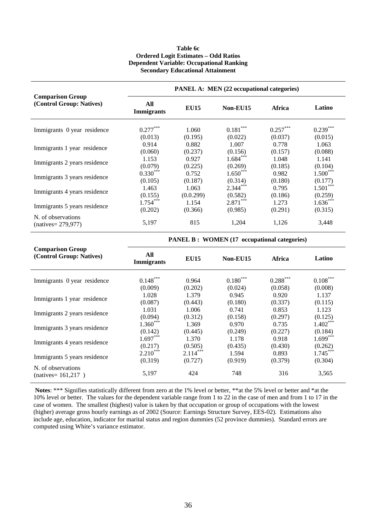#### **Table 6c Ordered Logit Estimates – Odd Ratios Dependent Variable: Occupational Ranking Secondary Educational Attainment**

| <b>Comparison Group</b><br>(Control Group: Natives) | PANEL A: MEN (22 occupational categories) |             |            |            |            |  |
|-----------------------------------------------------|-------------------------------------------|-------------|------------|------------|------------|--|
|                                                     | All<br><b>Immigrants</b>                  | <b>EU15</b> | Non-EU15   | Africa     | Latino     |  |
| Immigrants 0 year residence                         | $0.277***$                                | 1.060       | $0.181***$ | $0.257***$ | $0.239***$ |  |
|                                                     | (0.013)                                   | (0.195)     | (0.022)    | (0.037)    | (0.015)    |  |
| Immigrants 1 year residence                         | 0.914                                     | 0.882       | 1.007      | 0.778      | 1.063      |  |
|                                                     | (0.060)                                   | (0.237)     | (0.156)    | (0.157)    | (0.088)    |  |
| Immigrants 2 years residence                        | 1.153                                     | 0.927       | $1.684***$ | 1.048      | 1.141      |  |
|                                                     | (0.079)                                   | (0.225)     | (0.269)    | (0.185)    | (0.104)    |  |
| Immigrants 3 years residence                        | $0.330***$                                | 0.752       | $1.650***$ | 0.982      | $1.500***$ |  |
|                                                     | (0.105)                                   | (0.187)     | (0.314)    | (0.180)    | (0.177)    |  |
| Immigrants 4 years residence                        | 1.463                                     | 1.063       | $2.344***$ | 0.795      | $1.501***$ |  |
|                                                     | (0.155)                                   | (0.0.299)   | (0.582)    | (0.186)    | (0.259)    |  |
| Immigrants 5 years residence                        | $1.754***$                                | 1.154       | $2.871***$ | 1.273      | $1.636***$ |  |
|                                                     | (0.202)                                   | (0.366)     | (0.985)    | (0.291)    | (0.315)    |  |
| N. of observations<br>$(natives = 279.977)$         | 5,197                                     | 815         | 1,204      | 1,126      | 3,448      |  |

**PANEL B : WOMEN (17 occupational categories)** 

| <b>Comparison Group</b><br>(Control Group: Natives) | All<br><b>Immigrants</b> | <b>EU15</b> | Non-EU15   | <b>Africa</b> | Latino     |
|-----------------------------------------------------|--------------------------|-------------|------------|---------------|------------|
| Immigrants 0 year residence                         | $0.148***$               | 0.964       | $0.180***$ | $0.288***$    | $0.108***$ |
|                                                     | (0.009)                  | (0.202)     | (0.024)    | (0.058)       | (0.008)    |
| Immigrants 1 year residence                         | 1.028                    | 1.379       | 0.945      | 0.920         | 1.137      |
|                                                     | (0.087)                  | (0.443)     | (0.180)    | (0.337)       | (0.115)    |
| Immigrants 2 years residence                        | 1.031                    | 1.006       | 0.741      | 0.853         | 1.123      |
|                                                     | (0.094)                  | (0.312)     | (0.158)    | (0.297)       | (0.125)    |
|                                                     | $1.360***$               | 1.369       | 0.970      | 0.735         | $1.402***$ |
| Immigrants 3 years residence                        | (0.142)                  | (0.445)     | (0.249)    | (0.227)       | (0.184)    |
| Immigrants 4 years residence                        | $1.697***$               | 1.370       | 1.178      | 0.918         | $1.699***$ |
|                                                     | (0.217)                  | (0.505)     | (0.435)    | (0.430)       | (0.262)    |
| Immigrants 5 years residence                        | $2.210***$               | $2.114***$  | 1.594      | 0.893         | $1.745***$ |
|                                                     | (0.319)                  | (0.727)     | (0.919)    | (0.379)       | (0.304)    |
| N. of observations<br>$(natives = 161,217)$         | 5,197                    | 424         | 748        | 316           | 3,565      |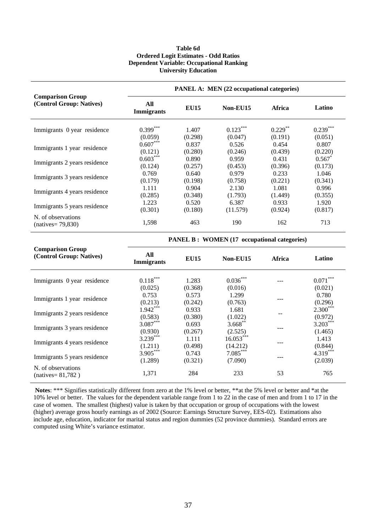### **Table 6d Ordered Logit Estimates - Odd Ratios Dependent Variable: Occupational Ranking University Education**

| <b>Comparison Group</b><br>(Control Group: Natives) | <b>PANEL A: MEN (22 occupational categories)</b> |             |            |            |                      |  |
|-----------------------------------------------------|--------------------------------------------------|-------------|------------|------------|----------------------|--|
|                                                     | All<br><b>Immigrants</b>                         | <b>EU15</b> | Non-EU15   | Africa     | Latino               |  |
| Immigrants 0 year residence                         | $0.399***$                                       | 1.407       | $0.123***$ | $0.229***$ | $0.239***$           |  |
|                                                     | (0.059)                                          | (0.298)     | (0.047)    | (0.191)    | (0.051)              |  |
| Immigrants 1 year residence                         | $0.607***$                                       | 0.837       | 0.526      | 0.454      | 0.807                |  |
|                                                     | (0.121)                                          | (0.280)     | (0.246)    | (0.439)    | (0.220)              |  |
| Immigrants 2 years residence                        | $0.603***$                                       | 0.890       | 0.959      | 0.431      | $0.567$ <sup>*</sup> |  |
|                                                     | (0.124)                                          | (0.257)     | (0.453)    | (0.396)    | (0.173)              |  |
| Immigrants 3 years residence                        | 0.769                                            | 0.640       | 0.979      | 0.233      | 1.046                |  |
|                                                     | (0.179)                                          | (0.198)     | (0.758)    | (0.221)    | (0.341)              |  |
| Immigrants 4 years residence                        | 1.111                                            | 0.904       | 2.130      | 1.081      | 0.996                |  |
|                                                     | (0.285)                                          | (0.348)     | (1.793)    | (1.449)    | (0.355)              |  |
|                                                     | 1.223                                            | 0.520       | 6.387      | 0.933      | 1.920                |  |
| Immigrants 5 years residence<br>N. of observations  | (0.301)                                          | (0.180)     | (11.579)   | (0.924)    | (0.817)              |  |
| $(natives = 79,830)$                                | 1,598                                            | 463         | 190        | 162        | 713                  |  |

**PANEL B : WOMEN (17 occupational categories)** 

| <b>Comparison Group</b>                    |                          |             |             |        |            |
|--------------------------------------------|--------------------------|-------------|-------------|--------|------------|
| (Control Group: Natives)                   | All<br><b>Immigrants</b> | <b>EU15</b> | Non-EU15    | Africa | Latino     |
| Immigrants 0 year residence                | $0.118***$               | 1.283       | $0.036***$  |        | $0.071***$ |
|                                            | (0.025)                  | (0.368)     | (0.016)     |        | (0.021)    |
| Immigrants 1 year residence                | 0.753                    | 0.573       | 1.299       |        | 0.780      |
|                                            | (0.213)                  | (0.242)     | (0.763)     |        | (0.296)    |
| Immigrants 2 years residence               | $1.942***$               | 0.933       | 1.681       |        | $2.300***$ |
|                                            | (0.583)                  | (0.380)     | (1.022)     |        | (0.972)    |
| Immigrants 3 years residence               | $3.087***$               | 0.693       | $3.668$ **  |        | $3.203***$ |
|                                            | (0.930)                  | (0.267)     | (2.525)     |        | (1.465)    |
| Immigrants 4 years residence               | $3.239***$               | 1.111       | $16.053***$ |        | 1.413      |
|                                            | (1.211)                  | (0.498)     | (14.212)    |        | (0.844)    |
| Immigrants 5 years residence               | $3.905***$               | 0.743       | $7.085***$  |        | $4.319***$ |
|                                            | (1.289)                  | (0.321)     | (7.090)     |        | (2.039)    |
| N. of observations<br>$(natives = 81,782)$ | 1,371                    | 284         | 233         | 53     | 765        |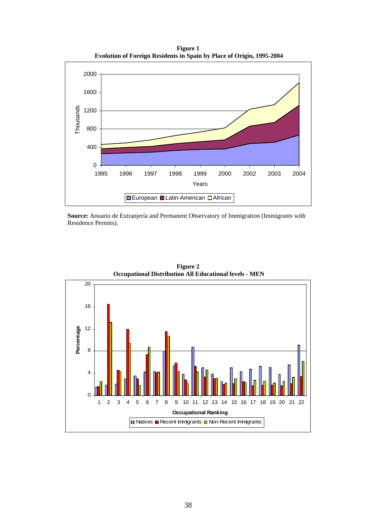**Figure 1 Evolution of Foreign Residents in Spain by Place of Origin, 1995-2004** 



**Source:** Anuario de Extranjería and Permanent Observatory of Immigration (Immigrants with Residence Permits).



**Figure 2 Occupational Distribution All Educational levels - MEN**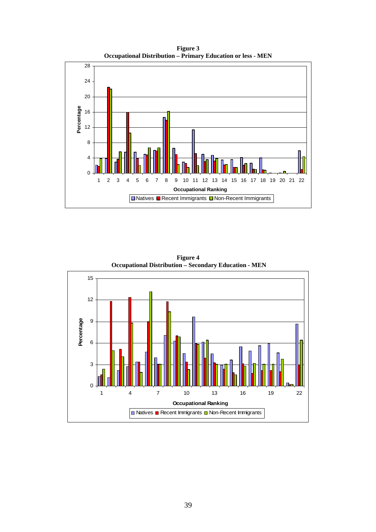**Figure 3 Occupational Distribution – Primary Education or less - MEN**



15 12 Percentage 9 **Percentage** 6 3  $\overline{0}$ 1 4 7 10 13 16 19 22 **Occupational Ranking**  $\Box$  Natives  $\Box$  Recent Immigrants  $\Box$  Non-Recent Immigrants

**Figure 4 Occupational Distribution – Secondary Education - MEN**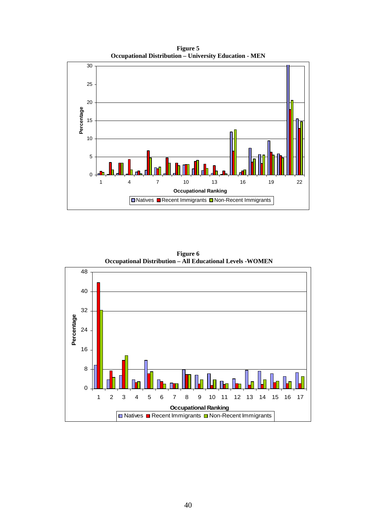**Figure 5 Occupational Distribution – University Education - MEN** 





**Figure 6 Occupational Distribution – All Educational Levels -WOMEN**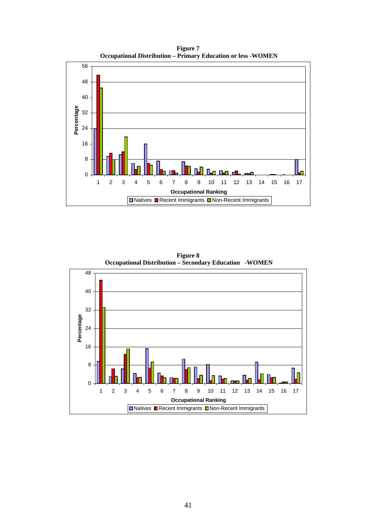**Figure 7 Occupational Distribution – Primary Education or less -WOMEN**



48 40 32 Percentage **Percentage** 24 16 8 0 1 2 3 4 5 6 7 8 9 10 11 12 13 14 15 16 17 **Occupational Ranking Distubes B** Recent Immigrants D Non-Recent Immigrants

**Figure 8 Occupational Distribution – Secondary Education -WOMEN**